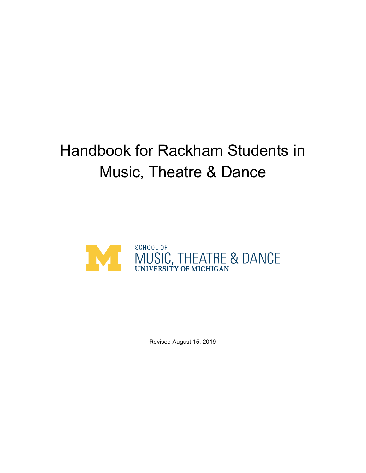# Handbook for Rackham Students in Music, Theatre & Dance



Revised August 15, 2019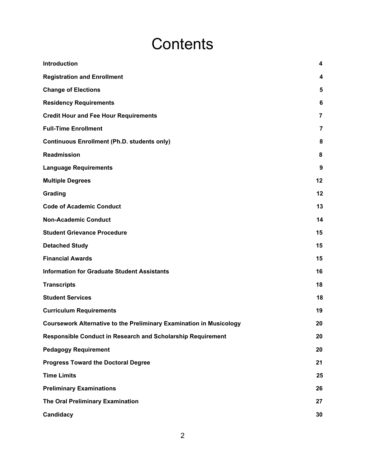# **Contents**

| <b>Introduction</b>                                                        | 4                |
|----------------------------------------------------------------------------|------------------|
| <b>Registration and Enrollment</b>                                         | 4                |
| <b>Change of Elections</b>                                                 | 5                |
| <b>Residency Requirements</b>                                              | 6                |
| <b>Credit Hour and Fee Hour Requirements</b>                               | $\overline{7}$   |
| <b>Full-Time Enrollment</b>                                                | $\overline{7}$   |
| <b>Continuous Enrollment (Ph.D. students only)</b>                         | 8                |
| <b>Readmission</b>                                                         | 8                |
| <b>Language Requirements</b>                                               | $\boldsymbol{9}$ |
| <b>Multiple Degrees</b>                                                    | 12               |
| Grading                                                                    | 12               |
| <b>Code of Academic Conduct</b>                                            | 13               |
| <b>Non-Academic Conduct</b>                                                | 14               |
| <b>Student Grievance Procedure</b>                                         | 15               |
| <b>Detached Study</b>                                                      | 15               |
| <b>Financial Awards</b>                                                    | 15               |
| <b>Information for Graduate Student Assistants</b>                         | 16               |
| <b>Transcripts</b>                                                         | 18               |
| <b>Student Services</b>                                                    | 18               |
| <b>Curriculum Requirements</b>                                             | 19               |
| <b>Coursework Alternative to the Preliminary Examination in Musicology</b> | 20               |
| Responsible Conduct in Research and Scholarship Requirement                | 20               |
| <b>Pedagogy Requirement</b>                                                | 20               |
| <b>Progress Toward the Doctoral Degree</b>                                 | 21               |
| <b>Time Limits</b>                                                         | 25               |
| <b>Preliminary Examinations</b>                                            | 26               |
| The Oral Preliminary Examination                                           | 27               |
| Candidacy                                                                  | 30               |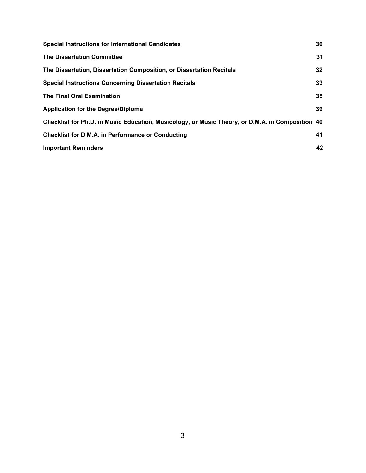| <b>Special Instructions for International Candidates</b>                                         | 30              |
|--------------------------------------------------------------------------------------------------|-----------------|
| <b>The Dissertation Committee</b>                                                                | 31              |
| The Dissertation, Dissertation Composition, or Dissertation Recitals                             | 32 <sub>2</sub> |
| <b>Special Instructions Concerning Dissertation Recitals</b>                                     | 33              |
| <b>The Final Oral Examination</b>                                                                | 35              |
| <b>Application for the Degree/Diploma</b>                                                        | 39              |
| Checklist for Ph.D. in Music Education, Musicology, or Music Theory, or D.M.A. in Composition 40 |                 |
| <b>Checklist for D.M.A. in Performance or Conducting</b>                                         | 41              |
| <b>Important Reminders</b>                                                                       | 42              |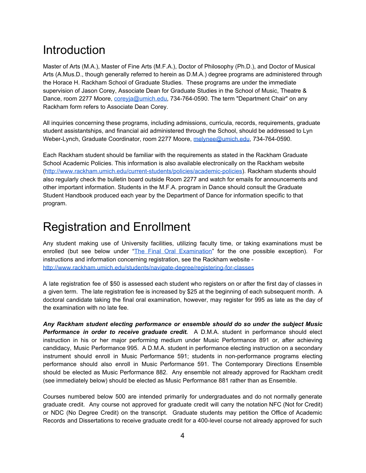### <span id="page-3-0"></span>Introduction

Master of Arts (M.A.), Master of Fine Arts (M.F.A.), Doctor of Philosophy (Ph.D.), and Doctor of Musical Arts (A.Mus.D., though generally referred to herein as D.M.A.) degree programs are administered through the Horace H. Rackham School of Graduate Studies. These programs are under the immediate supervision of Jason Corey, Associate Dean for Graduate Studies in the School of Music, Theatre & Dance, room 2277 Moore, *coreyja@umich.edu*, 734-764-0590. The term "Department Chair" on any Rackham form refers to Associate Dean Corey.

All inquiries concerning these programs, including admissions, curricula, records, requirements, graduate student assistantships, and financial aid administered through the School, should be addressed to Lyn Weber-Lynch, Graduate Coordinator, room 2277 Moore, [melynee@umich.edu,](mailto:melynee@umich.edu) 734-764-0590.

Each Rackham student should be familiar with the requirements as stated in the Rackham Graduate School Academic Policies. This information is also available electronically on the Rackham website [\(http://www.rackham.umich.edu/current-students/policies/academic-policies](http://www.rackham.umich.edu/current-students/policies/academic-policies)). Rackham students should also regularly check the bulletin board outside Room 2277 and watch for emails for announcements and other important information. Students in the M.F.A. program in Dance should consult the Graduate Student Handbook produced each year by the Department of Dance for information specific to that program.

### <span id="page-3-1"></span>Registration and Enrollment

Any student making use of University facilities, utilizing faculty time, or taking examinations must be enrolled (but see below under "The Final Oral [Examination"](#page-35-0) for the one possible exception). For instructions and information concerning registration, see the Rackham website <http://www.rackham.umich.edu/students/navigate-degree/registering-for-classes>

A late registration fee of \$50 is assessed each student who registers on or after the first day of classes in a given term. The late registration fee is increased by \$25 at the beginning of each subsequent month. A doctoral candidate taking the final oral examination, however, may register for 995 as late as the day of the examination with no late fee.

*Any Rackham student electing performance or ensemble should do so under the subject Music Performance in order to receive graduate credit.* A D.M.A. student in performance should elect instruction in his or her major performing medium under Music Performance 891 or, after achieving candidacy, Music Performance 995. A D.M.A. student in performance electing instruction on a secondary instrument should enroll in Music Performance 591; students in non-performance programs electing performance should also enroll in Music Performance 591. The Contemporary Directions Ensemble should be elected as Music Performance 882. Any ensemble not already approved for Rackham credit (see immediately below) should be elected as Music Performance 881 rather than as Ensemble.

Courses numbered below 500 are intended primarily for undergraduates and do not normally generate graduate credit. Any course not approved for graduate credit will carry the notation NFC (Not for Credit) or NDC (No Degree Credit) on the transcript. Graduate students may petition the Office of Academic Records and Dissertations to receive graduate credit for a 400-level course not already approved for such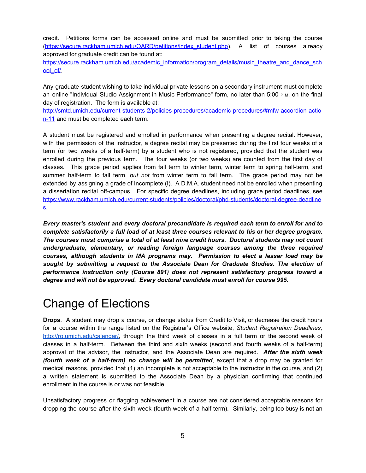credit. Petitions forms can be accessed online and must be submitted prior to taking the course [\(https://secure.rackham.umich.edu/OARD/petitions/index\\_student.php\)](https://secure.rackham.umich.edu/OARD/petitions/index_student.php). A list of courses already approved for graduate credit can be found at:

[https://secure.rackham.umich.edu/academic\\_information/program\\_details/music\\_theatre\\_and\\_dance\\_sch](https://secure.rackham.umich.edu/academic_information/program_details/music_theatre_and_dance_school_of/) [ool\\_of/](https://secure.rackham.umich.edu/academic_information/program_details/music_theatre_and_dance_school_of/).

Any graduate student wishing to take individual private lessons on a secondary instrument must complete an online "Individual Studio Assignment in Music Performance" form, no later than 5:00 P.M. on the final day of registration. The form is available at:

[http://smtd.umich.edu/current-students-2/policies-procedures/academic-procedures/#mfw-accordion-actio](http://smtd.umich.edu/current-students-2/policies-procedures/academic-procedures/#mfw-accordion-action-11) [n-11](http://smtd.umich.edu/current-students-2/policies-procedures/academic-procedures/#mfw-accordion-action-11) and must be completed each term.

A student must be registered and enrolled in performance when presenting a degree recital. However, with the permission of the instructor, a degree recital may be presented during the first four weeks of a term (or two weeks of a half-term) by a student who is not registered, provided that the student was enrolled during the previous term. The four weeks (or two weeks) are counted from the first day of classes. This grace period applies from fall term to winter term, winter term to spring half-term, and summer half-term to fall term, *but not* from winter term to fall term. The grace period may not be extended by assigning a grade of Incomplete (I). A D.M.A. student need not be enrolled when presenting a dissertation recital off-campus. For specific degree deadlines, including grace period deadlines, see [https://www.rackham.umich.edu/current-students/policies/doctoral/phd-students/doctoral-degree-deadline](https://www.rackham.umich.edu/current-students/policies/doctoral/phd-students/doctoral-degree-deadlines) [s.](https://www.rackham.umich.edu/current-students/policies/doctoral/phd-students/doctoral-degree-deadlines)

*Every master's student and every doctoral precandidate is required each term to enroll for and to complete satisfactorily a full load of at least three courses relevant to his or her degree program. The courses must comprise a total of at least nine credit hours. Doctoral students may not count undergraduate, elementary, or reading foreign language courses among the three required courses, although students in MA programs may. Permission to elect a lesser load may be sought by submitting a request to the Associate Dean for Graduate Studies. The election of performance instruction only (Course 891) does not represent satisfactory progress toward a degree and will not be approved. Every doctoral candidate must enroll for course 995.*

# <span id="page-4-0"></span>Change of Elections

**Drops**. A student may drop a course, or change status from Credit to Visit, or decrease the credit hours for a course within the range listed on the Registrar's Office website, *Student Registration Deadlines,* [http://ro.umich.edu/calendar/,](http://ro.umich.edu/calendar/) through the third week of classes in a full term or the second week of classes in a half-term. Between the third and sixth weeks (second and fourth weeks of a half-term) approval of the advisor, the instructor, and the Associate Dean are required. *After the sixth week (fourth week of a half-term) no change will be permitted*, except that a drop may be granted for medical reasons, provided that (1) an incomplete is not acceptable to the instructor in the course, and (2) a written statement is submitted to the Associate Dean by a physician confirming that continued enrollment in the course is or was not feasible.

Unsatisfactory progress or flagging achievement in a course are not considered acceptable reasons for dropping the course after the sixth week (fourth week of a half-term). Similarly, being too busy is not an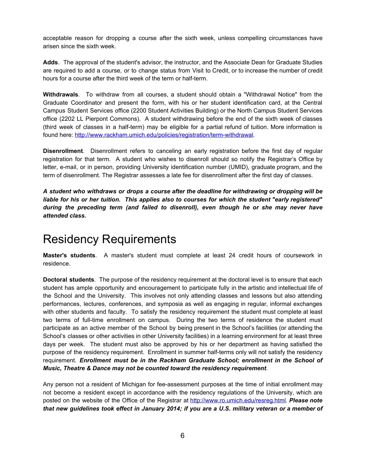acceptable reason for dropping a course after the sixth week, unless compelling circumstances have arisen since the sixth week.

**Adds**. The approval of the student's advisor, the instructor, and the Associate Dean for Graduate Studies are required to add a course, or to change status from Visit to Credit, or to increase the number of credit hours for a course after the third week of the term or half-term.

**Withdrawals**. To withdraw from all courses, a student should obtain a "Withdrawal Notice" from the Graduate Coordinator and present the form, with his or her student identification card, at the Central Campus Student Services office (2200 Student Activities Building) or the North Campus Student Services office (2202 LL Pierpont Commons). A student withdrawing before the end of the sixth week of classes (third week of classes in a half-term) may be eligible for a partial refund of tuition. More information is found here: [http://www.rackham.umich.edu/policies/registration/term-withdrawal.](http://www.rackham.umich.edu/policies/registration/term-withdrawal)

**Disenrollment**. Disenrollment refers to canceling an early registration before the first day of regular registration for that term. A student who wishes to disenroll should so notify the Registrar's Office by letter, e-mail, or in person, providing University identification number (UMID), graduate program, and the term of disenrollment. The Registrar assesses a late fee for disenrollment after the first day of classes.

*A student who withdraws or drops a course after the deadline for withdrawing or dropping will be liable for his or her tuition. This applies also to courses for which the student "early registered" during the preceding term (and failed to disenroll), even though he or she may never have attended class.*

# <span id="page-5-0"></span>Residency Requirements

**Master's students**. A master's student must complete at least 24 credit hours of coursework in residence.

**Doctoral students**. The purpose of the residency requirement at the doctoral level is to ensure that each student has ample opportunity and encouragement to participate fully in the artistic and intellectual life of the School and the University. This involves not only attending classes and lessons but also attending performances, lectures, conferences, and symposia as well as engaging in regular, informal exchanges with other students and faculty. To satisfy the residency requirement the student must complete at least two terms of full-time enrollment on campus. During the two terms of residence the student must participate as an active member of the School by being present in the School's facilities (or attending the School's classes or other activities in other University facilities) in a learning environment for at least three days per week. The student must also be approved by his or her department as having satisfied the purpose of the residency requirement. Enrollment in summer half-terms only will not satisfy the residency requirement. *Enrollment must be in the Rackham Graduate School; enrollment in the School of Music, Theatre & Dance may not be counted toward the residency requirement*.

Any person not a resident of Michigan for fee-assessment purposes at the time of initial enrollment may not become a resident except in accordance with the residency regulations of the University, which are posted on the website of the Office of the Registrar at <http://www.ro.umich.edu/resreg.html>*. Please note* that new guidelines took effect in January 2014; if you are a U.S. military veteran or a member of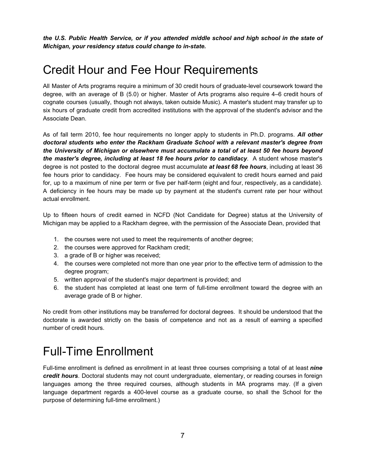*the U.S. Public Health Service, or if you attended middle school and high school in the state of Michigan, your residency status could change to in-state.*

# <span id="page-6-0"></span>Credit Hour and Fee Hour Requirements

All Master of Arts programs require a minimum of 30 credit hours of graduate-level coursework toward the degree, with an average of B (5.0) or higher. Master of Arts programs also require 4–6 credit hours of cognate courses (usually, though not always, taken outside Music). A master's student may transfer up to six hours of graduate credit from accredited institutions with the approval of the student's advisor and the Associate Dean.

As of fall term 2010, fee hour requirements no longer apply to students in Ph.D. programs. *All other doctoral students who enter the Rackham Graduate School with a relevant master's degree from the University of Michigan or elsewhere must accumulate a total of at least 50 fee hours beyond the master's degree, including at least 18 fee hours prior to candidacy*. A student whose master's degree is not posted to the doctoral degree must accumulate *at least 68 fee hours*, including at least 36 fee hours prior to candidacy. Fee hours may be considered equivalent to credit hours earned and paid for, up to a maximum of nine per term or five per half-term (eight and four, respectively, as a candidate). A deficiency in fee hours may be made up by payment at the student's current rate per hour without actual enrollment.

Up to fifteen hours of credit earned in NCFD (Not Candidate for Degree) status at the University of Michigan may be applied to a Rackham degree, with the permission of the Associate Dean, provided that

- 1. the courses were not used to meet the requirements of another degree;
- 2. the courses were approved for Rackham credit;
- 3. a grade of B or higher was received;
- 4. the courses were completed not more than one year prior to the effective term of admission to the degree program;
- 5. written approval of the student's major department is provided; and
- 6. the student has completed at least one term of full-time enrollment toward the degree with an average grade of B or higher.

No credit from other institutions may be transferred for doctoral degrees. It should be understood that the doctorate is awarded strictly on the basis of competence and not as a result of earning a specified number of credit hours.

### <span id="page-6-1"></span>Full-Time Enrollment

Full-time enrollment is defined as enrollment in at least three courses comprising a total of at least *nine credit hours*. Doctoral students may not count undergraduate, elementary, or reading courses in foreign languages among the three required courses, although students in MA programs may. (If a given language department regards a 400-level course as a graduate course, so shall the School for the purpose of determining full-time enrollment.)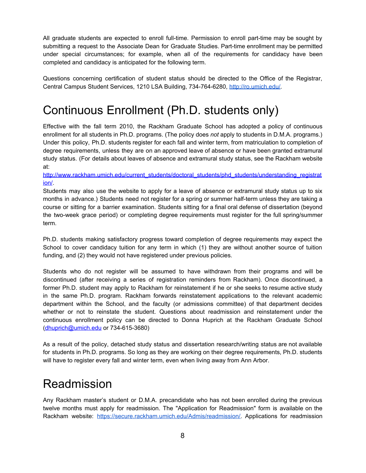All graduate students are expected to enroll full-time. Permission to enroll part-time may be sought by submitting a request to the Associate Dean for Graduate Studies. Part-time enrollment may be permitted under special circumstances; for example, when all of the requirements for candidacy have been completed and candidacy is anticipated for the following term.

Questions concerning certification of student status should be directed to the Office of the Registrar, Central Campus Student Services, 1210 LSA Building, 734-764-6280, [http://ro.umich.edu/.](http://ro.umich.edu/)

# <span id="page-7-0"></span>Continuous Enrollment (Ph.D. students only)

Effective with the fall term 2010, the Rackham Graduate School has adopted a policy of continuous enrollment for all students in Ph.D. programs. (The policy does *not* apply to students in D.M.A. programs.) Under this policy, Ph.D. students register for each fall and winter term, from matriculation to completion of degree requirements, unless they are on an approved leave of absence or have been granted extramural study status. (For details about leaves of absence and extramural study status, see the Rackham website at:

#### [http://www.rackham.umich.edu/current\\_students/doctoral\\_students/phd\\_students/understanding\\_registrat](http://www.rackham.umich.edu/current_students/doctoral_students/phd_students/understanding_registration/) [ion/](http://www.rackham.umich.edu/current_students/doctoral_students/phd_students/understanding_registration/).

Students may also use the website to apply for a leave of absence or extramural study status up to six months in advance.) Students need not register for a spring or summer half-term unless they are taking a course or sitting for a barrier examination. Students sitting for a final oral defense of dissertation (beyond the two-week grace period) or completing degree requirements must register for the full spring/summer term.

Ph.D. students making satisfactory progress toward completion of degree requirements may expect the School to cover candidacy tuition for any term in which (1) they are without another source of tuition funding, and (2) they would not have registered under previous policies.

Students who do not register will be assumed to have withdrawn from their programs and will be discontinued (after receiving a series of registration reminders from Rackham). Once discontinued, a former Ph.D. student may apply to Rackham for reinstatement if he or she seeks to resume active study in the same Ph.D. program. Rackham forwards reinstatement applications to the relevant academic department within the School, and the faculty (or admissions committee) of that department decides whether or not to reinstate the student. Questions about readmission and reinstatement under the continuous enrollment policy can be directed to Donna Huprich at the Rackham Graduate School [\(dhuprich@umich.edu](mailto:dhuprich@umich.edu) or 734-615-3680)

As a result of the policy, detached study status and dissertation research/writing status are not available for students in Ph.D. programs. So long as they are working on their degree requirements, Ph.D. students will have to register every fall and winter term, even when living away from Ann Arbor.

### <span id="page-7-1"></span>Readmission

Any Rackham master's student or D.M.A. precandidate who has not been enrolled during the previous twelve months must apply for readmission. The "Application for Readmission" form is available on the Rackham website: [https://secure.rackham.umich.edu/Admis/readmission/.](https://secure.rackham.umich.edu/Admis/readmission/) Applications for readmission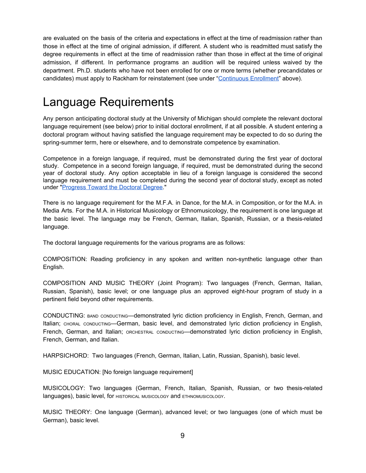are evaluated on the basis of the criteria and expectations in effect at the time of readmission rather than those in effect at the time of original admission, if different. A student who is readmitted must satisfy the degree requirements in effect at the time of readmission rather than those in effect at the time of original admission, if different. In performance programs an audition will be required unless waived by the department. Ph.D. students who have not been enrolled for one or more terms (whether precandidates or candidates) must apply to Rackham for reinstatement (see under ["Continuous](#page-7-0) Enrollment" above).

#### <span id="page-8-0"></span>Language Requirements

Any person anticipating doctoral study at the University of Michigan should complete the relevant doctoral language requirement (see below) prior to initial doctoral enrollment, if at all possible. A student entering a doctoral program without having satisfied the language requirement may be expected to do so during the spring-summer term, here or elsewhere, and to demonstrate competence by examination.

Competence in a foreign language, if required, must be demonstrated during the first year of doctoral study. Competence in a second foreign language, if required, must be demonstrated during the second year of doctoral study. Any option acceptable in lieu of a foreign language is considered the second language requirement and must be completed during the second year of doctoral study, except as noted under "[Progress](#page-21-0) Toward the Doctoral Degree."

There is no language requirement for the M.F.A. in Dance, for the M.A. in Composition, or for the M.A. in Media Arts. For the M.A. in Historical Musicology or Ethnomusicology, the requirement is one language at the basic level. The language may be French, German, Italian, Spanish, Russian, or a thesis-related language.

The doctoral language requirements for the various programs are as follows:

COMPOSITION: Reading proficiency in any spoken and written non-synthetic language other than English.

COMPOSITION AND MUSIC THEORY (Joint Program): Two languages (French, German, Italian, Russian, Spanish), basic level; or one language plus an approved eight-hour program of study in a pertinent field beyond other requirements.

CONDUCTING: BAND CONDUCTING—demonstrated lyric diction proficiency in English, French, German, and Italian; CHORAL CONDUCTING—German, basic level, and demonstrated lyric diction proficiency in English, French, German, and Italian; ORCHESTRAL CONDUCTING—demonstrated lyric diction proficiency in English, French, German, and Italian.

HARPSICHORD: Two languages (French, German, Italian, Latin, Russian, Spanish), basic level.

MUSIC EDUCATION: [No foreign language requirement]

MUSICOLOGY: Two languages (German, French, Italian, Spanish, Russian, or two thesis-related languages), basic level, for HISTORICAL MUSICOLOGY and ETHNOMUSICOLOGY.

MUSIC THEORY: One language (German), advanced level; or two languages (one of which must be German), basic level.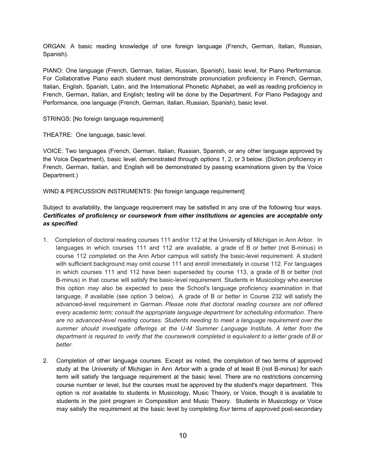ORGAN: A basic reading knowledge of one foreign language (French, German, Italian, Russian, Spanish).

PIANO: One language (French, German, Italian, Russian, Spanish), basic level, for Piano Performance. For Collaborative Piano each student must demonstrate pronunciation proficiency in French, German, Italian, English, Spanish, Latin, and the International Phonetic Alphabet, as well as reading proficiency in French, German, Italian, and English; testing will be done by the Department. For Piano Pedagogy and Performance, one language (French, German, Italian, Russian, Spanish), basic level.

STRINGS: [No foreign language requirement]

THEATRE: One language, basic level.

VOICE: Two languages (French, German, Italian, Russian, Spanish, or any other language approved by the Voice Department), basic level, demonstrated through options 1, 2, or 3 below. (Diction proficiency in French, German, Italian, and English will be demonstrated by passing examinations given by the Voice Department.)

WIND & PERCUSSION INSTRUMENTS: [No foreign language requirement]

Subject to availability, the language requirement may be satisfied in any one of the following four ways. *Certificates of proficiency or coursework from other institutions or agencies are acceptable only as specified*.

- 1. Completion of doctoral reading courses 111 and/or 112 at the University of Michigan in Ann Arbor. In languages in which courses 111 and 112 are available, a grade of B or better (not B-minus) in course 112 completed on the Ann Arbor campus will satisfy the basic-level requirement. A student with sufficient background may omit course 111 and enroll immediately in course 112. For languages in which courses 111 and 112 have been superseded by course 113, a grade of B or better (not B-minus) in that course will satisfy the basic-level requirement. Students in Musicology who exercise this option *may* also be expected to pass the School's language proficiency examination in that language, if available (see option 3 below). A grade of B or better in Course 232 will satisfy the advanced-level requirement in German. *Please note that doctoral reading courses are not offered every academic term; consult the appropriate language department for scheduling information. There are no advanced-level reading courses. Students needing to meet a language requirement over the summer should investigate offerings at the U-M Summer Language Institute. A letter from the* department is required to verify that the coursework completed is equivalent to a letter grade of B or *better.*
- 2. Completion of other language courses. Except as noted, the completion of two terms of approved study at the University of Michigan in Ann Arbor with a grade of at least B (not B-minus) for each term will satisfy the language requirement at the basic level. There are no restrictions concerning course number or level, but the courses must be approved by the student's major department. This option is *not* available to students in Musicology, Music Theory, or Voice, though it is available to students in the joint program in Composition and Music Theory. Students in Musicology or Voice may satisfy the requirement at the basic level by completing *four* terms of approved post-secondary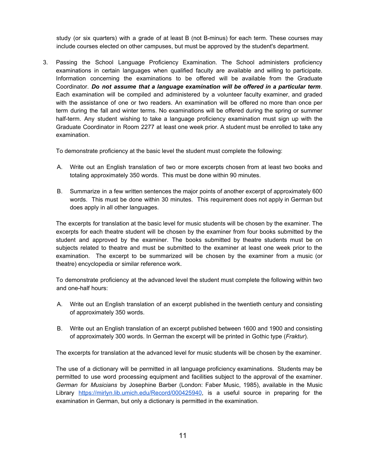study (or six quarters) with a grade of at least B (not B-minus) for each term. These courses may include courses elected on other campuses, but must be approved by the student's department.

3. Passing the School Language Proficiency Examination. The School administers proficiency examinations in certain languages when qualified faculty are available and willing to participate. Information concerning the examinations to be offered will be available from the Graduate Coordinator. *Do not assume that a language examination will be offered in a particular term*. Each examination will be compiled and administered by a volunteer faculty examiner, and graded with the assistance of one or two readers. An examination will be offered no more than once per term during the fall and winter terms. No examinations will be offered during the spring or summer half-term. Any student wishing to take a language proficiency examination must sign up with the Graduate Coordinator in Room 2277 at least one week prior. A student must be enrolled to take any examination.

To demonstrate proficiency at the basic level the student must complete the following:

- A. Write out an English translation of two or more excerpts chosen from at least two books and totaling approximately 350 words. This must be done within 90 minutes.
- B. Summarize in a few written sentences the major points of another excerpt of approximately 600 words. This must be done within 30 minutes. This requirement does not apply in German but does apply in all other languages.

The excerpts for translation at the basic level for music students will be chosen by the examiner. The excerpts for each theatre student will be chosen by the examiner from four books submitted by the student and approved by the examiner. The books submitted by theatre students must be on subjects related to theatre and must be submitted to the examiner at least one week prior to the examination. The excerpt to be summarized will be chosen by the examiner from a music (or theatre) encyclopedia or similar reference work.

To demonstrate proficiency at the advanced level the student must complete the following within two and one-half hours:

- A. Write out an English translation of an excerpt published in the twentieth century and consisting of approximately 350 words.
- B. Write out an English translation of an excerpt published between 1600 and 1900 and consisting of approximately 300 words. In German the excerpt will be printed in Gothic type (*Fraktur*).

The excerpts for translation at the advanced level for music students will be chosen by the examiner.

The use of a dictionary will be permitted in all language proficiency examinations. Students may be permitted to use word processing equipment and facilities subject to the approval of the examiner. *German for Musicians* by Josephine Barber (London: Faber Music, 1985), available in the Music Library [https://mirlyn.lib.umich.edu/Record/000425940,](https://mirlyn.lib.umich.edu/Record/000425940) is a useful source in preparing for the examination in German, but only a dictionary is permitted in the examination.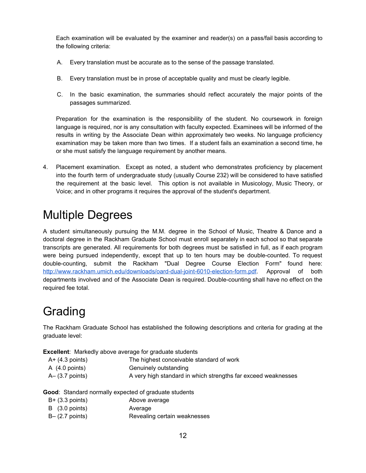Each examination will be evaluated by the examiner and reader(s) on a pass/fail basis according to the following criteria:

- A. Every translation must be accurate as to the sense of the passage translated.
- B. Every translation must be in prose of acceptable quality and must be clearly legible.
- C. In the basic examination, the summaries should reflect accurately the major points of the passages summarized.

Preparation for the examination is the responsibility of the student. No coursework in foreign language is required, nor is any consultation with faculty expected. Examinees will be informed of the results in writing by the Associate Dean within approximately two weeks. No language proficiency examination may be taken more than two times. If a student fails an examination a second time, he or she must satisfy the language requirement by another means.

4. Placement examination. Except as noted, a student who demonstrates proficiency by placement into the fourth term of undergraduate study (usually Course 232) will be considered to have satisfied the requirement at the basic level. This option is not available in Musicology, Music Theory, or Voice; and in other programs it requires the approval of the student's department.

# <span id="page-11-0"></span>Multiple Degrees

A student simultaneously pursuing the M.M. degree in the School of Music, Theatre & Dance and a doctoral degree in the Rackham Graduate School must enroll separately in each school so that separate transcripts are generated. All requirements for both degrees must be satisfied in full, as if each program were being pursued independently, except that up to ten hours may be double-counted. To request double-counting, submit the Rackham "Dual Degree Course Election Form" found here: <http://www.rackham.umich.edu/downloads/oard-dual-joint-6010-election-form.pdf>. Approval of both departments involved and of the Associate Dean is required. Double-counting shall have no effect on the required fee total.

# <span id="page-11-1"></span>Grading

The Rackham Graduate School has established the following descriptions and criteria for grading at the graduate level:

**Excellent**: Markedly above average for graduate students

| $A+ (4.3$ points) | The highest conceivable standard of work                      |
|-------------------|---------------------------------------------------------------|
| A (4.0 points)    | Genuinely outstanding                                         |
| A– (3.7 points)   | A very high standard in which strengths far exceed weaknesses |

**Good**: Standard normally expected of graduate students

| $B+$ (3.3 points)            | Above average                |
|------------------------------|------------------------------|
| $\vert B \vert$ (3.0 points) | Average                      |
| $B - (2.7$ points)           | Revealing certain weaknesses |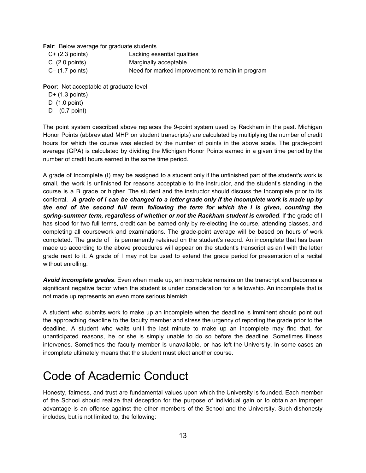**Fair**: Below average for graduate students

| $C+$ (2.3 points)       | Lacking essential qualities                      |
|-------------------------|--------------------------------------------------|
| $C(2.0 \text{ points})$ | Marginally acceptable                            |
| $C - (1.7$ points)      | Need for marked improvement to remain in program |

**Poor**: Not acceptable at graduate level

- D+ (1.3 points)
- D (1.0 point)
- D– (0.7 point)

The point system described above replaces the 9-point system used by Rackham in the past. Michigan Honor Points (abbreviated MHP on student transcripts) are calculated by multiplying the number of credit hours for which the course was elected by the number of points in the above scale. The grade-point average (GPA) is calculated by dividing the Michigan Honor Points earned in a given time period by the number of credit hours earned in the same time period.

A grade of Incomplete (I) may be assigned to a student only if the unfinished part of the student's work is small, the work is unfinished for reasons acceptable to the instructor, and the student's standing in the course is a B grade or higher. The student and the instructor should discuss the Incomplete prior to its conferral. A grade of I can be changed to a letter grade only if the incomplete work is made up by *the end of the second full term following the term for which the I is given, counting the spring-summer term, regardless of whether or not the Rackham student is enrolled*. If the grade of I has stood for two full terms, credit can be earned only by re-electing the course, attending classes, and completing all coursework and examinations. The grade-point average will be based on hours of work completed. The grade of I is permanently retained on the student's record. An incomplete that has been made up according to the above procedures will appear on the student's transcript as an I with the letter grade next to it. A grade of I may not be used to extend the grace period for presentation of a recital without enrolling.

*Avoid incomplete grades*. Even when made up, an incomplete remains on the transcript and becomes a significant negative factor when the student is under consideration for a fellowship. An incomplete that is not made up represents an even more serious blemish.

A student who submits work to make up an incomplete when the deadline is imminent should point out the approaching deadline to the faculty member and stress the urgency of reporting the grade prior to the deadline. A student who waits until the last minute to make up an incomplete may find that, for unanticipated reasons, he or she is simply unable to do so before the deadline. Sometimes illness intervenes. Sometimes the faculty member is unavailable, or has left the University. In some cases an incomplete ultimately means that the student must elect another course.

# <span id="page-12-0"></span>Code of Academic Conduct

Honesty, fairness, and trust are fundamental values upon which the University is founded. Each member of the School should realize that deception for the purpose of individual gain or to obtain an improper advantage is an offense against the other members of the School and the University. Such dishonesty includes, but is not limited to, the following: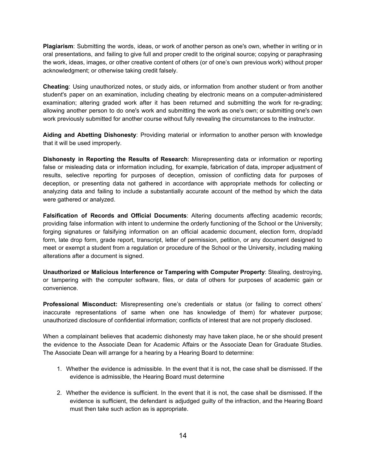**Plagiarism**: Submitting the words, ideas, or work of another person as one's own, whether in writing or in oral presentations, and failing to give full and proper credit to the original source; copying or paraphrasing the work, ideas, images, or other creative content of others (or of one's own previous work) without proper acknowledgment; or otherwise taking credit falsely.

**Cheating**: Using unauthorized notes, or study aids, or information from another student or from another student's paper on an examination, including cheating by electronic means on a computer-administered examination; altering graded work after it has been returned and submitting the work for re-grading; allowing another person to do one's work and submitting the work as one's own; or submitting one's own work previously submitted for another course without fully revealing the circumstances to the instructor.

**Aiding and Abetting Dishonesty**: Providing material or information to another person with knowledge that it will be used improperly.

**Dishonesty in Reporting the Results of Research**: Misrepresenting data or information or reporting false or misleading data or information including, for example, fabrication of data, improper adjustment of results, selective reporting for purposes of deception, omission of conflicting data for purposes of deception, or presenting data not gathered in accordance with appropriate methods for collecting or analyzing data and failing to include a substantially accurate account of the method by which the data were gathered or analyzed.

**Falsification of Records and Official Documents**: Altering documents affecting academic records; providing false information with intent to undermine the orderly functioning of the School or the University; forging signatures or falsifying information on an official academic document, election form, drop/add form, late drop form, grade report, transcript, letter of permission, petition, or any document designed to meet or exempt a student from a regulation or procedure of the School or the University, including making alterations after a document is signed.

**Unauthorized or Malicious Interference or Tampering with Computer Property**: Stealing, destroying, or tampering with the computer software, files, or data of others for purposes of academic gain or convenience.

**Professional Misconduct:** Misrepresenting one's credentials or status (or failing to correct others' inaccurate representations of same when one has knowledge of them) for whatever purpose; unauthorized disclosure of confidential information; conflicts of interest that are not properly disclosed.

When a complainant believes that academic dishonesty may have taken place, he or she should present the evidence to the Associate Dean for Academic Affairs or the Associate Dean for Graduate Studies. The Associate Dean will arrange for a hearing by a Hearing Board to determine:

- 1. Whether the evidence is admissible. In the event that it is not, the case shall be dismissed. If the evidence is admissible, the Hearing Board must determine
- 2. Whether the evidence is sufficient. In the event that it is not, the case shall be dismissed. If the evidence is sufficient, the defendant is adjudged guilty of the infraction, and the Hearing Board must then take such action as is appropriate.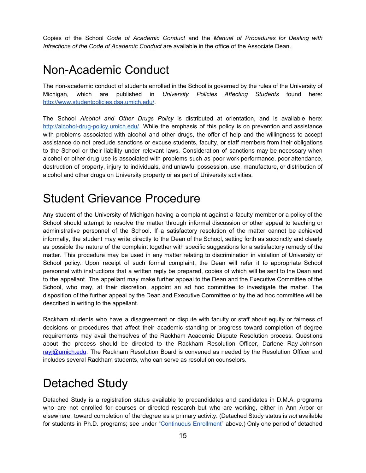Copies of the School *Code of Academic Conduct* and the *Manual of Procedures for Dealing with Infractions of the Code of Academic Conduct* are available in the office of the Associate Dean.

#### <span id="page-14-0"></span>Non-Academic Conduct

The non-academic conduct of students enrolled in the School is governed by the rules of the University of Michigan, which are published in *University Policies Affecting Students* found here: <http://www.studentpolicies.dsa.umich.edu/>.

The School *Alcohol and Other Drugs Policy* is distributed at orientation, and is available here: <http://alcohol-drug-policy.umich.edu/>. While the emphasis of this policy is on prevention and assistance with problems associated with alcohol and other drugs, the offer of help and the willingness to accept assistance do not preclude sanctions or excuse students, faculty, or staff members from their obligations to the School or their liability under relevant laws. Consideration of sanctions may be necessary when alcohol or other drug use is associated with problems such as poor work performance, poor attendance, destruction of property, injury to individuals, and unlawful possession, use, manufacture, or distribution of alcohol and other drugs on University property or as part of University activities.

### <span id="page-14-1"></span>Student Grievance Procedure

Any student of the University of Michigan having a complaint against a faculty member or a policy of the School should attempt to resolve the matter through informal discussion or other appeal to teaching or administrative personnel of the School. If a satisfactory resolution of the matter cannot be achieved informally, the student may write directly to the Dean of the School, setting forth as succinctly and clearly as possible the nature of the complaint together with specific suggestions for a satisfactory remedy of the matter. This procedure may be used in any matter relating to discrimination in violation of University or School policy. Upon receipt of such formal complaint, the Dean will refer it to appropriate School personnel with instructions that a written reply be prepared, copies of which will be sent to the Dean and to the appellant. The appellant may make further appeal to the Dean and the Executive Committee of the School, who may, at their discretion, appoint an ad hoc committee to investigate the matter. The disposition of the further appeal by the Dean and Executive Committee or by the ad hoc committee will be described in writing to the appellant.

Rackham students who have a disagreement or dispute with faculty or staff about equity or fairness of decisions or procedures that affect their academic standing or progress toward completion of degree requirements may avail themselves of the Rackham Academic Dispute Resolution process. Questions about the process should be directed to the Rackham Resolution Officer, Darlene Ray-Johnson [rayj@umich.edu](mailto:rayj@umich.edu). The Rackham Resolution Board is convened as needed by the Resolution Officer and includes several Rackham students, who can serve as resolution counselors.

### <span id="page-14-2"></span>Detached Study

Detached Study is a registration status available to precandidates and candidates in D.M.A. programs who are not enrolled for courses or directed research but who are working, either in Ann Arbor or elsewhere, toward completion of the degree as a primary activity. (Detached Study status is *not* available for students in Ph.D. programs; see under ["Continuous](#page-7-0) Enrollment" above.) Only one period of detached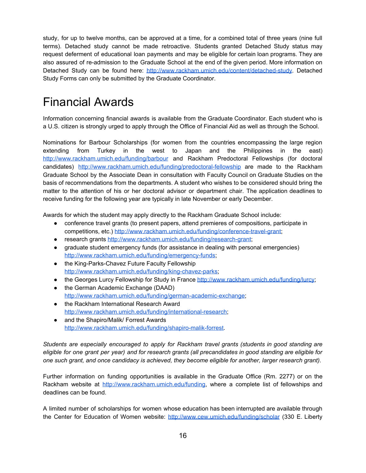study, for up to twelve months, can be approved at a time, for a combined total of three years (nine full terms). Detached study cannot be made retroactive. Students granted Detached Study status may request deferment of educational loan payments and may be eligible for certain loan programs. They are also assured of re-admission to the Graduate School at the end of the given period. More information on Detached Study can be found here: [http://www.rackham.umich.edu/content/detached-study.](http://www.rackham.umich.edu/content/detached-study) Detached Study Forms can only be submitted by the Graduate Coordinator.

### <span id="page-15-0"></span>Financial Awards

Information concerning financial awards is available from the Graduate Coordinator. Each student who is a U.S. citizen is strongly urged to apply through the Office of Financial Aid as well as through the School.

Nominations for Barbour Scholarships (for women from the countries encompassing the large region extending from Turkey in the west to Japan and the Philippines in the east) <http://www.rackham.umich.edu/funding/barbour> and Rackham Predoctoral Fellowships (for doctoral candidates) <http://www.rackham.umich.edu/funding/predoctoral-fellowship> are made to the Rackham Graduate School by the Associate Dean in consultation with Faculty Council on Graduate Studies on the basis of recommendations from the departments. A student who wishes to be considered should bring the matter to the attention of his or her doctoral advisor or department chair. The application deadlines to receive funding for the following year are typically in late November or early December.

Awards for which the student may apply directly to the Rackham Graduate School include:

- conference travel grants (to present papers, attend premieres of compositions, participate in competitions, etc.) <http://www.rackham.umich.edu/funding/conference-travel-grant>;
- research grants <http://www.rackham.umich.edu/funding/research-grant>;
- graduate student emergency funds (for assistance in dealing with personal emergencies) <http://www.rackham.umich.edu/funding/emergency-funds>;
- the King-Parks-Chavez Future Faculty Fellowship <http://www.rackham.umich.edu/funding/king-chavez-parks>;
- the Georges Lurcy Fellowship for Study in France <http://www.rackham.umich.edu/funding/lurcy>;
- the German Academic Exchange (DAAD) [http://www.rackham.umich.edu/funding/german-academic-exchange;](http://www.rackham.umich.edu/funding/german-academic-exchange)
- the Rackham International Research Award [http://www.rackham.umich.edu/funding/international-research;](http://www.rackham.umich.edu/funding/international-research)
- and the Shapiro/Malik/ Forrest Awards <http://www.rackham.umich.edu/funding/shapiro-malik-forrest>.

*Students are especially encouraged to apply for Rackham travel grants (students in good standing are* eligible for one grant per year) and for research grants (all precandidates in good standing are eligible for *one such grant, and once candidacy is achieved, they become eligible for another, larger research grant).*

Further information on funding opportunities is available in the Graduate Office (Rm. 2277) or on the Rackham website at [http://www.rackham.umich.edu/funding,](http://www.rackham.umich.edu/funding) where a complete list of fellowships and deadlines can be found.

A limited number of scholarships for women whose education has been interrupted are available through the Center for Education of Women website: <http://www.cew.umich.edu/funding/scholar> (330 E. Liberty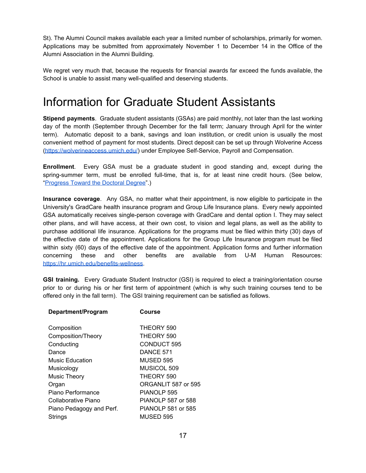St). The Alumni Council makes available each year a limited number of scholarships, primarily for women. Applications may be submitted from approximately November 1 to December 14 in the Office of the Alumni Association in the Alumni Building.

We regret very much that, because the requests for financial awards far exceed the funds available, the School is unable to assist many well-qualified and deserving students.

#### <span id="page-16-0"></span>Information for Graduate Student Assistants

**Stipend payments**. Graduate student assistants (GSAs) are paid monthly, not later than the last working day of the month (September through December for the fall term; January through April for the winter term). Automatic deposit to a bank, savings and loan institution, or credit union is usually the most convenient method of payment for most students. Direct deposit can be set up through Wolverine Access [\(https://wolverineaccess.umich.edu/](https://wolverineaccess.umich.edu/)) under Employee Self-Service, Payroll and Compensation.

**Enrollment**. Every GSA must be a graduate student in good standing and, except during the spring-summer term, must be enrolled full-time, that is, for at least nine credit hours. (See below, ["Progress](#page-21-0) Toward the Doctoral Degree".)

**Insurance coverage**. Any GSA, no matter what their appointment, is now eligible to participate in the University's GradCare health insurance program and Group Life Insurance plans. Every newly appointed GSA automatically receives single-person coverage with GradCare and dental option I. They may select other plans, and will have access, at their own cost, to vision and legal plans, as well as the ability to purchase additional life insurance. Applications for the programs must be filed within thirty (30) days of the effective date of the appointment. Applications for the Group Life Insurance program must be filed within sixty (60) days of the effective date of the appointment. Application forms and further information concerning these and other benefits are available from U-M Human Resources: <https://hr.umich.edu/benefits-wellness>.

**GSI training.** Every Graduate Student Instructor (GSI) is required to elect a training/orientation course prior to or during his or her first term of appointment (which is why such training courses tend to be offered only in the fall term). The GSI training requirement can be satisfied as follows.

| Department/Program       | Course              |
|--------------------------|---------------------|
| Composition              | THEORY 590          |
| Composition/Theory       | THEORY 590          |
| Conducting               | <b>CONDUCT 595</b>  |
| Dance                    | DANCE 571           |
| Music Education          | <b>MUSED 595</b>    |
| Musicology               | MUSICOL 509         |
| <b>Music Theory</b>      | THEORY 590          |
| Organ                    | ORGANLIT 587 or 595 |
| Piano Performance        | PIANOLP 595         |
| Collaborative Piano      | PIANOLP 587 or 588  |
| Piano Pedagogy and Perf. | PIANOLP 581 or 585  |
| Strings                  | MUSED 595           |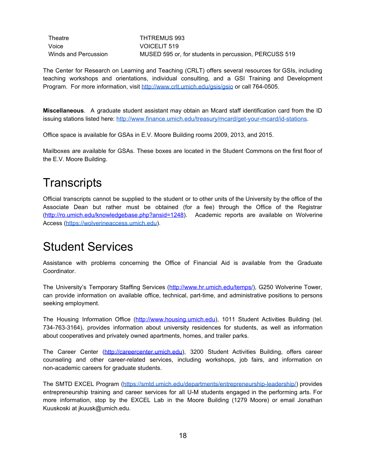Theatre THTREMUS 993 Voice VOICELIT 519

Winds and Percussion MUSED 595 or, for students in percussion, PERCUSS 519

The Center for Research on Learning and Teaching (CRLT) offers several resources for GSIs, including teaching workshops and orientations, individual consulting, and a GSI Training and Development Program. For more information, visit <http://www.crlt.umich.edu/gsis/gsio> or call 764-0505.

**Miscellaneous**. A graduate student assistant may obtain an Mcard staff identification card from the ID issuing stations listed here: [http://www.finance.umich.edu/treasury/mcard/get-your-mcard/id-stations.](http://www.finance.umich.edu/treasury/mcard/get-your-mcard/id-stations)

Office space is available for GSAs in E.V. Moore Building rooms 2009, 2013, and 2015.

Mailboxes are available for GSAs. These boxes are located in the Student Commons on the first floor of the E.V. Moore Building.

### <span id="page-17-0"></span>**Transcripts**

Official transcripts cannot be supplied to the student or to other units of the University by the office of the Associate Dean but rather must be obtained (for a fee) through the Office of the Registrar [\(http://ro.umich.edu/knowledgebase.php?ansid=1248\)](http://ro.umich.edu/knowledgebase.php?ansid=1248). Academic reports are available on Wolverine Access [\(https://wolverineaccess.umich.edu](https://wolverineaccess.umich.edu/)).

#### <span id="page-17-1"></span>Student Services

Assistance with problems concerning the Office of Financial Aid is available from the Graduate Coordinator.

The University's Temporary Staffing Services (<http://www.hr.umich.edu/temps/>), G250 Wolverine Tower, can provide information on available office, technical, part-time, and administrative positions to persons seeking employment.

The Housing Information Office ([http://www.housing.umich.edu](http://www.housing.umich.edu/)), 1011 Student Activities Building (tel. 734-763-3164), provides information about university residences for students, as well as information about cooperatives and privately owned apartments, homes, and trailer parks.

The Career Center ([http://careercenter.umich.edu\)](http://careercenter.umich.edu/), 3200 Student Activities Building, offers career counseling and other career-related services, including workshops, job fairs, and information on non-academic careers for graduate students.

The SMTD EXCEL Program [\(https://smtd.umich.edu/departments/entrepreneurship-leadership/\)](https://smtd.umich.edu/departments/entrepreneurship-leadership/) provides entrepreneurship training and career services for all U-M students engaged in the performing arts. For more information, stop by the EXCEL Lab in the Moore Building (1279 Moore) or email Jonathan Kuuskoski at jkuusk@umich.edu.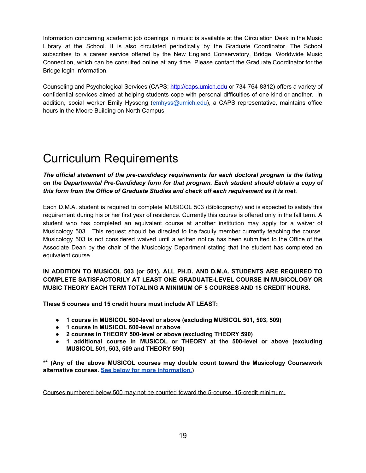Information concerning academic job openings in music is available at the Circulation Desk in the Music Library at the School. It is also circulated periodically by the Graduate Coordinator. The School subscribes to a career service offered by the New England Conservatory, Bridge: Worldwide Music Connection, which can be consulted online at any time. Please contact the Graduate Coordinator for the Bridge login Information.

Counseling and Psychological Services (CAPS; [http://caps.umich.edu](http://caps.umich.edu/) or 734-764-8312) offers a variety of confidential services aimed at helping students cope with personal difficulties of one kind or another. In addition, social worker Emily Hyssong ([emhyss@umich.edu](mailto:emhyss@umich.edu)), a CAPS representative, maintains office hours in the Moore Building on North Campus.

# <span id="page-18-0"></span>Curriculum Requirements

*The official statement of the pre-candidacy requirements for each doctoral program is the listing on the Departmental Pre-Candidacy form for that program. Each student should obtain a copy of this form from the Office of Graduate Studies and check off each requirement as it is met.*

Each D.M.A. student is required to complete MUSICOL 503 (Bibliography) and is expected to satisfy this requirement during his or her first year of residence. Currently this course is offered only in the fall term. A student who has completed an equivalent course at another institution may apply for a waiver of Musicology 503. This request should be directed to the faculty member currently teaching the course. Musicology 503 is not considered waived until a written notice has been submitted to the Office of the Associate Dean by the chair of the Musicology Department stating that the student has completed an equivalent course.

#### **IN ADDITION TO MUSICOL 503 (or 501), ALL PH.D. AND D.M.A. STUDENTS ARE REQUIRED TO COMPLETE SATISFACTORILY AT LEAST ONE GRADUATE-LEVEL COURSE IN MUSICOLOGY OR MUSIC THEORY EACH TERM TOTALING A MINIMUM OF 5 COURSES AND 15 CREDIT HOURS.**

**These 5 courses and 15 credit hours must include AT LEAST:**

- **● 1 course in MUSICOL 500-level or above (excluding MUSICOL 501, 503, 509)**
- **● 1 course in MUSICOL 600-level or above**
- **● 2 courses in THEORY 500-level or above (excluding THEORY 590)**
- **● 1 additional course in MUSICOL or THEORY at the 500-level or above (excluding MUSICOL 501, 503, 509 and THEORY 590)**

**\*\* (Any of the above MUSICOL courses may double count toward the Musicology Coursework alternative courses. See below for more [information.\)](#page-19-0)**

Courses numbered below 500 may not be counted toward the 5-course, 15-credit minimum.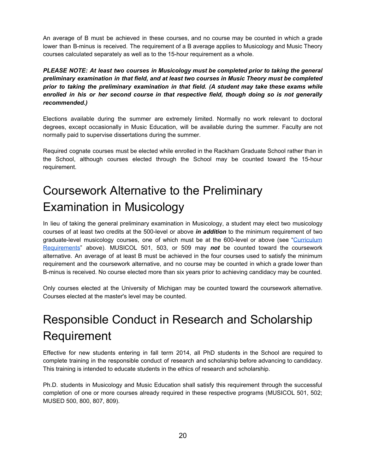An average of B must be achieved in these courses, and no course may be counted in which a grade lower than B-minus is received. The requirement of a B average applies to Musicology and Music Theory courses calculated separately as well as to the 15-hour requirement as a whole.

*PLEASE NOTE: At least two courses in Musicology must be completed prior to taking the general preliminary examination in that field, and at least two courses in Music Theory must be completed prior to taking the preliminary examination in that field. (A student may take these exams while enrolled in his or her second course in that respective field, though doing so is not generally recommended.)*

Elections available during the summer are extremely limited. Normally no work relevant to doctoral degrees, except occasionally in Music Education, will be available during the summer. Faculty are not normally paid to supervise dissertations during the summer.

Required cognate courses must be elected while enrolled in the Rackham Graduate School rather than in the School, although courses elected through the School may be counted toward the 15-hour requirement.

# <span id="page-19-0"></span>Coursework Alternative to the Preliminary Examination in Musicology

In lieu of taking the general preliminary examination in Musicology, a student may elect two musicology courses of at least two credits at the 500-level or above *in addition* to the minimum requirement of two graduate-level musicology courses, one of which must be at the 600-level or above (see "[Curriculum](#page-18-0) [Requirements](#page-18-0)" above). MUSICOL 501, 503, or 509 may *not* be counted toward the coursework alternative. An average of at least B must be achieved in the four courses used to satisfy the minimum requirement and the coursework alternative, and no course may be counted in which a grade lower than B-minus is received. No course elected more than six years prior to achieving candidacy may be counted.

Only courses elected at the University of Michigan may be counted toward the coursework alternative. Courses elected at the master's level may be counted.

# <span id="page-19-1"></span>Responsible Conduct in Research and Scholarship Requirement

Effective for new students entering in fall term 2014, all PhD students in the School are required to complete training in the responsible conduct of research and scholarship before advancing to candidacy. This training is intended to educate students in the ethics of research and scholarship.

Ph.D. students in Musicology and Music Education shall satisfy this requirement through the successful completion of one or more courses already required in these respective programs (MUSICOL 501, 502; MUSED 500, 800, 807, 809).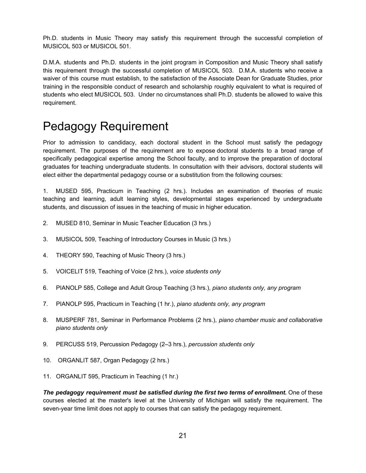Ph.D. students in Music Theory may satisfy this requirement through the successful completion of MUSICOL 503 or MUSICOL 501.

D.M.A. students and Ph.D. students in the joint program in Composition and Music Theory shall satisfy this requirement through the successful completion of MUSICOL 503. D.M.A. students who receive a waiver of this course must establish, to the satisfaction of the Associate Dean for Graduate Studies, prior training in the responsible conduct of research and scholarship roughly equivalent to what is required of students who elect MUSICOL 503. Under no circumstances shall Ph.D. students be allowed to waive this requirement.

# <span id="page-20-0"></span>Pedagogy Requirement

Prior to admission to candidacy, each doctoral student in the School must satisfy the pedagogy requirement. The purposes of the requirement are to expose doctoral students to a broad range of specifically pedagogical expertise among the School faculty, and to improve the preparation of doctoral graduates for teaching undergraduate students. In consultation with their advisors, doctoral students will elect either the departmental pedagogy course or a substitution from the following courses:

1. MUSED 595, Practicum in Teaching (2 hrs.). Includes an examination of theories of music teaching and learning, adult learning styles, developmental stages experienced by undergraduate students, and discussion of issues in the teaching of music in higher education.

- 2. MUSED 810, Seminar in Music Teacher Education (3 hrs.)
- 3. MUSICOL 509, Teaching of Introductory Courses in Music (3 hrs.)
- 4. THEORY 590, Teaching of Music Theory (3 hrs.)
- 5. VOICELIT 519, Teaching of Voice (2 hrs.), *voice students only*
- 6. PIANOLP 585, College and Adult Group Teaching (3 hrs.), *piano students only, any program*
- 7. PIANOLP 595, Practicum in Teaching (1 hr.), *piano students only, any program*
- 8. MUSPERF 781, Seminar in Performance Problems (2 hrs.), *piano chamber music and collaborative piano students only*
- 9. PERCUSS 519, Percussion Pedagogy (2–3 hrs.), *percussion students only*
- 10. ORGANLIT 587, Organ Pedagogy (2 hrs.)
- 11. ORGANLIT 595, Practicum in Teaching (1 hr.)

*The pedagogy requirement must be satisfied during the first two terms of enrollment.* One of these courses elected at the master's level at the University of Michigan will satisfy the requirement. The seven-year time limit does not apply to courses that can satisfy the pedagogy requirement.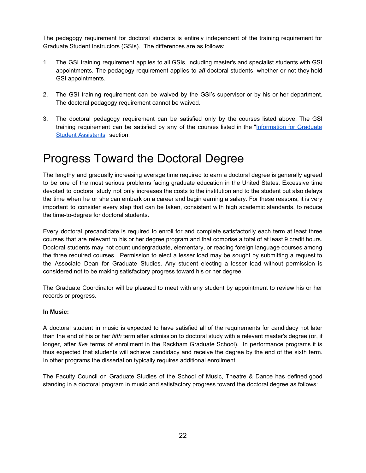The pedagogy requirement for doctoral students is entirely independent of the training requirement for Graduate Student Instructors (GSIs). The differences are as follows:

- 1. The GSI training requirement applies to all GSIs, including master's and specialist students with GSI appointments. The pedagogy requirement applies to *all* doctoral students, whether or not they hold GSI appointments.
- 2. The GSI training requirement can be waived by the GSI's supervisor or by his or her department. The doctoral pedagogy requirement cannot be waived.
- 3. The doctoral pedagogy requirement can be satisfied only by the courses listed above. The GSI training requirement can be satisfied by any of the courses listed in the "[Information](#page-16-0) for Graduate Student [Assistants](#page-16-0)" section.

# <span id="page-21-0"></span>Progress Toward the Doctoral Degree

The lengthy and gradually increasing average time required to earn a doctoral degree is generally agreed to be one of the most serious problems facing graduate education in the United States. Excessive time devoted to doctoral study not only increases the costs to the institution and to the student but also delays the time when he or she can embark on a career and begin earning a salary. For these reasons, it is very important to consider every step that can be taken, consistent with high academic standards, to reduce the time-to-degree for doctoral students.

Every doctoral precandidate is required to enroll for and complete satisfactorily each term at least three courses that are relevant to his or her degree program and that comprise a total of at least 9 credit hours. Doctoral students may not count undergraduate, elementary, or reading foreign language courses among the three required courses. Permission to elect a lesser load may be sought by submitting a request to the Associate Dean for Graduate Studies. Any student electing a lesser load without permission is considered not to be making satisfactory progress toward his or her degree.

The Graduate Coordinator will be pleased to meet with any student by appointment to review his or her records or progress.

#### **In Music:**

A doctoral student in music is expected to have satisfied all of the requirements for candidacy not later than the end of his or her *fifth* term after admission to doctoral study with a relevant master's degree (or, if longer, after *five* terms of enrollment in the Rackham Graduate School). In performance programs it is thus expected that students will achieve candidacy and receive the degree by the end of the sixth term. In other programs the dissertation typically requires additional enrollment.

The Faculty Council on Graduate Studies of the School of Music, Theatre & Dance has defined good standing in a doctoral program in music and satisfactory progress toward the doctoral degree as follows: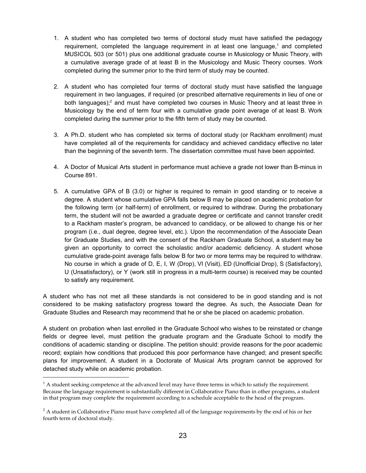- 1. A student who has completed two terms of doctoral study must have satisfied the pedagogy requirement, completed the language requirement in at least one language,<sup>1</sup> and completed MUSICOL 503 (or 501) plus one additional graduate course in Musicology or Music Theory, with a cumulative average grade of at least B in the Musicology and Music Theory courses. Work completed during the summer prior to the third term of study may be counted.
- 2. A student who has completed four terms of doctoral study must have satisfied the language requirement in two languages, if required (or prescribed alternative requirements in lieu of one or both languages);<sup>2</sup> and must have completed two courses in Music Theory and at least three in Musicology by the end of term four with a cumulative grade point average of at least B. Work completed during the summer prior to the fifth term of study may be counted.
- 3. A Ph.D. student who has completed six terms of doctoral study (or Rackham enrollment) must have completed all of the requirements for candidacy and achieved candidacy effective no later than the beginning of the seventh term. The dissertation committee must have been appointed.
- 4. A Doctor of Musical Arts student in performance must achieve a grade not lower than B-minus in Course 891.
- 5. A cumulative GPA of B (3.0) or higher is required to remain in good standing or to receive a degree. A student whose cumulative GPA falls below B may be placed on academic probation for the following term (or half-term) of enrollment, or required to withdraw. During the probationary term, the student will not be awarded a graduate degree or certificate and cannot transfer credit to a Rackham master's program, be advanced to candidacy, or be allowed to change his or her program (i.e., dual degree, degree level, etc.). Upon the recommendation of the Associate Dean for Graduate Studies, and with the consent of the Rackham Graduate School, a student may be given an opportunity to correct the scholastic and/or academic deficiency. A student whose cumulative grade-point average falls below B for two or more terms may be required to withdraw. No course in which a grade of D, E, I, W (Drop), VI (Visit), ED (Unofficial Drop), S (Satisfactory), U (Unsatisfactory), or Y (work still in progress in a multi-term course) is received may be counted to satisfy any requirement.

A student who has not met all these standards is not considered to be in good standing and is not considered to be making satisfactory progress toward the degree. As such, the Associate Dean for Graduate Studies and Research may recommend that he or she be placed on academic probation.

A student on probation when last enrolled in the Graduate School who wishes to be reinstated or change fields or degree level, must petition the graduate program and the Graduate School to modify the conditions of academic standing or discipline. The petition should: provide reasons for the poor academic record; explain how conditions that produced this poor performance have changed; and present specific plans for improvement. A student in a Doctorate of Musical Arts program cannot be approved for detached study while on academic probation.

 $1 A$  student seeking competence at the advanced level may have three terms in which to satisfy the requirement. Because the language requirement is substantially different in Collaborative Piano than in other programs, a student in that program may complete the requirement according to a schedule acceptable to the head of the program.

 $<sup>2</sup>$  A student in Collaborative Piano must have completed all of the language requirements by the end of his or her</sup> fourth term of doctoral study.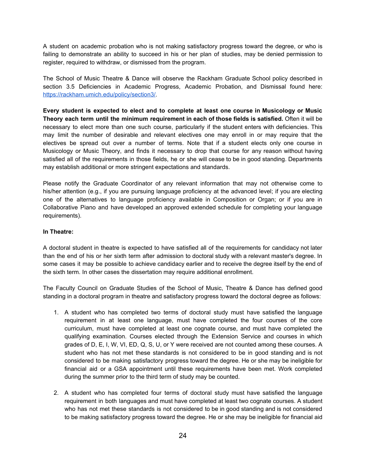A student on academic probation who is not making satisfactory progress toward the degree, or who is failing to demonstrate an ability to succeed in his or her plan of studies, may be denied permission to register, required to withdraw, or dismissed from the program.

The School of Music Theatre & Dance will observe the Rackham Graduate School policy described in section 3.5 Deficiencies in Academic Progress, Academic Probation, and Dismissal found here: <https://rackham.umich.edu/policy/section3/>.

**Every student is expected to elect and to complete at least one course in Musicology or Music Theory each term until the minimum requirement in each of those fields is satisfied.** Often it will be necessary to elect more than one such course, particularly if the student enters with deficiencies. This may limit the number of desirable and relevant electives one may enroll in or may require that the electives be spread out over a number of terms. Note that if a student elects only one course in Musicology or Music Theory, and finds it necessary to drop that course for any reason without having satisfied all of the requirements in those fields, he or she will cease to be in good standing. Departments may establish additional or more stringent expectations and standards.

Please notify the Graduate Coordinator of any relevant information that may not otherwise come to his/her attention (e.g., if you are pursuing language proficiency at the advanced level; if you are electing one of the alternatives to language proficiency available in Composition or Organ; or if you are in Collaborative Piano and have developed an approved extended schedule for completing your language requirements).

#### **In Theatre:**

A doctoral student in theatre is expected to have satisfied all of the requirements for candidacy not later than the end of his or her sixth term after admission to doctoral study with a relevant master's degree. In some cases it may be possible to achieve candidacy earlier and to receive the degree itself by the end of the sixth term. In other cases the dissertation may require additional enrollment.

The Faculty Council on Graduate Studies of the School of Music, Theatre & Dance has defined good standing in a doctoral program in theatre and satisfactory progress toward the doctoral degree as follows:

- 1. A student who has completed two terms of doctoral study must have satisfied the language requirement in at least one language, must have completed the four courses of the core curriculum, must have completed at least one cognate course, and must have completed the qualifying examination. Courses elected through the Extension Service and courses in which grades of D, E, I, W, VI, ED, Q, S, U, or Y were received are not counted among these courses. A student who has not met these standards is not considered to be in good standing and is not considered to be making satisfactory progress toward the degree. He or she may be ineligible for financial aid or a GSA appointment until these requirements have been met. Work completed during the summer prior to the third term of study may be counted.
- 2. A student who has completed four terms of doctoral study must have satisfied the language requirement in both languages and must have completed at least two cognate courses. A student who has not met these standards is not considered to be in good standing and is not considered to be making satisfactory progress toward the degree. He or she may be ineligible for financial aid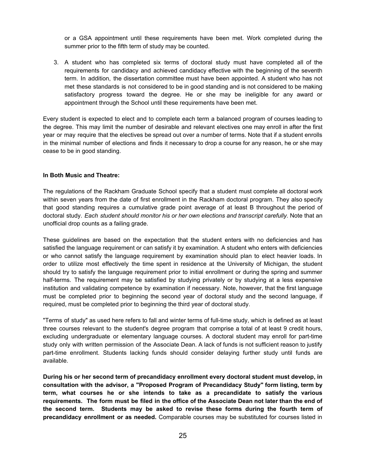or a GSA appointment until these requirements have been met. Work completed during the summer prior to the fifth term of study may be counted.

3. A student who has completed six terms of doctoral study must have completed all of the requirements for candidacy and achieved candidacy effective with the beginning of the seventh term. In addition, the dissertation committee must have been appointed. A student who has not met these standards is not considered to be in good standing and is not considered to be making satisfactory progress toward the degree. He or she may be ineligible for any award or appointment through the School until these requirements have been met.

Every student is expected to elect and to complete each term a balanced program of courses leading to the degree. This may limit the number of desirable and relevant electives one may enroll in after the first year or may require that the electives be spread out over a number of terms. Note that if a student enrolls in the minimal number of elections and finds it necessary to drop a course for any reason, he or she may cease to be in good standing.

#### **In Both Music and Theatre:**

The regulations of the Rackham Graduate School specify that a student must complete all doctoral work within seven years from the date of first enrollment in the Rackham doctoral program. They also specify that good standing requires a cumulative grade point average of at least B throughout the period of doctoral study. *Each student should monitor his or her own elections and transcript carefully.* Note that an unofficial drop counts as a failing grade.

These guidelines are based on the expectation that the student enters with no deficiencies and has satisfied the language requirement or can satisfy it by examination. A student who enters with deficiencies or who cannot satisfy the language requirement by examination should plan to elect heavier loads. In order to utilize most effectively the time spent in residence at the University of Michigan, the student should try to satisfy the language requirement prior to initial enrollment or during the spring and summer half-terms. The requirement may be satisfied by studying privately or by studying at a less expensive institution and validating competence by examination if necessary. Note, however, that the first language must be completed prior to beginning the second year of doctoral study and the second language, if required, must be completed prior to beginning the third year of doctoral study.

"Terms of study" as used here refers to fall and winter terms of full-time study, which is defined as at least three courses relevant to the student's degree program that comprise a total of at least 9 credit hours, excluding undergraduate or elementary language courses. A doctoral student may enroll for part-time study only with written permission of the Associate Dean. A lack of funds is not sufficient reason to justify part-time enrollment. Students lacking funds should consider delaying further study until funds are available.

**During his or her second term of precandidacy enrollment every doctoral student must develop, in consultation with the advisor, a "Proposed Program of Precandidacy Study" form listing, term by term, what courses he or she intends to take as a precandidate to satisfy the various** requirements. The form must be filed in the office of the Associate Dean not later than the end of **the second term. Students may be asked to revise these forms during the fourth term of precandidacy enrollment or as needed.** Comparable courses may be substituted for courses listed in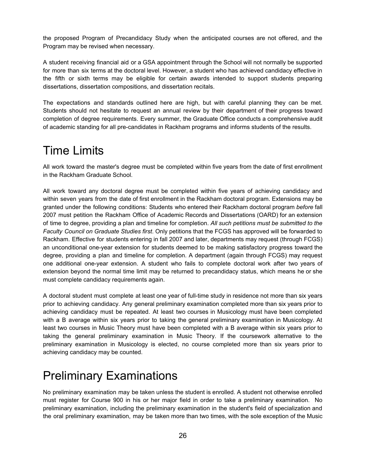the proposed Program of Precandidacy Study when the anticipated courses are not offered, and the Program may be revised when necessary.

A student receiving financial aid or a GSA appointment through the School will not normally be supported for more than six terms at the doctoral level. However, a student who has achieved candidacy effective in the fifth or sixth terms may be eligible for certain awards intended to support students preparing dissertations, dissertation compositions, and dissertation recitals.

The expectations and standards outlined here are high, but with careful planning they can be met. Students should not hesitate to request an annual review by their department of their progress toward completion of degree requirements. Every summer, the Graduate Office conducts a comprehensive audit of academic standing for all pre-candidates in Rackham programs and informs students of the results.

### <span id="page-25-0"></span>Time Limits

All work toward the master's degree must be completed within five years from the date of first enrollment in the Rackham Graduate School.

All work toward any doctoral degree must be completed within five years of achieving candidacy and within seven years from the date of first enrollment in the Rackham doctoral program. Extensions may be granted under the following conditions: Students who entered their Rackham doctoral program *before* fall 2007 must petition the Rackham Office of Academic Records and Dissertations (OARD) for an extension of time to degree, providing a plan and timeline for completion. *All such petitions must be submitted to the Faculty Council on Graduate Studies first*. Only petitions that the FCGS has approved will be forwarded to Rackham. Effective for students entering in fall 2007 and later, departments may request (through FCGS) an unconditional one-year extension for students deemed to be making satisfactory progress toward the degree, providing a plan and timeline for completion. A department (again through FCGS) may request one additional one-year extension. A student who fails to complete doctoral work after two years of extension beyond the normal time limit may be returned to precandidacy status, which means he or she must complete candidacy requirements again.

A doctoral student must complete at least one year of full-time study in residence not more than six years prior to achieving candidacy. Any general preliminary examination completed more than six years prior to achieving candidacy must be repeated. At least two courses in Musicology must have been completed with a B average within six years prior to taking the general preliminary examination in Musicology. At least two courses in Music Theory must have been completed with a B average within six years prior to taking the general preliminary examination in Music Theory. If the coursework alternative to the preliminary examination in Musicology is elected, no course completed more than six years prior to achieving candidacy may be counted.

# <span id="page-25-1"></span>Preliminary Examinations

No preliminary examination may be taken unless the student is enrolled. A student not otherwise enrolled must register for Course 900 in his or her major field in order to take a preliminary examination. No preliminary examination, including the preliminary examination in the student's field of specialization and the oral preliminary examination, may be taken more than two times, with the sole exception of the Music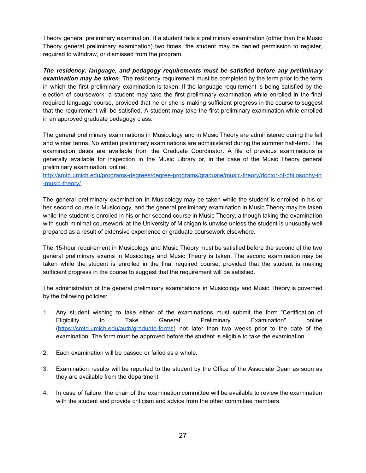Theory general preliminary examination. If a student fails a preliminary examination (other than the Music Theory general preliminary examination) two times, the student may be denied permission to register, required to withdraw, or dismissed from the program.

*The residency, language, and pedagogy requirements must be satisfied before any preliminary examination may be taken*. The residency requirement must be completed by the term prior to the term in which the first preliminary examination is taken. If the language requirement is being satisfied by the election of coursework, a student may take the first preliminary examination while enrolled in the final required language course, provided that he or she is making sufficient progress in the course to suggest that the requirement will be satisfied. A student may take the first preliminary examination while enrolled in an approved graduate pedagogy class.

The general preliminary examinations in Musicology and in Music Theory are administered during the fall and winter terms. No written preliminary examinations are administered during the summer half-term. The examination dates are available from the Graduate Coordinator. A file of previous examinations is generally available for inspection in the Music Library or, in the case of the Music Theory general preliminary examination, online:

[http://smtd.umich.edu/programs-degrees/degree-programs/graduate/music-theory/doctor-of-philosophy-in](http://smtd.umich.edu/programs-degrees/degree-programs/graduate/music-theory/doctor-of-philosophy-in-music-theory/) [-music-theory/](http://smtd.umich.edu/programs-degrees/degree-programs/graduate/music-theory/doctor-of-philosophy-in-music-theory/).

The general preliminary examination in Musicology may be taken while the student is enrolled in his or her second course in Musicology, and the general preliminary examination in Music Theory may be taken while the student is enrolled in his or her second course in Music Theory, although taking the examination with such minimal coursework at the University of Michigan is unwise unless the student is unusually well prepared as a result of extensive experience or graduate coursework elsewhere.

The 15-hour requirement in Musicology and Music Theory must be satisfied before the second of the two general preliminary exams in Musicology and Music Theory is taken. The second examination may be taken while the student is enrolled in the final required course, provided that the student is making sufficient progress in the course to suggest that the requirement will be satisfied.

The administration of the general preliminary examinations in Musicology and Music Theory is governed by the following policies:

- 1. Any student wishing to take either of the examinations must submit the form "Certification of Eligibility to Take General Preliminary Examination" online [\(https://smtd.umich.edu/auth/graduate-forms](https://smtd.umich.edu/auth/graduate-forms)) not later than two weeks prior to the date of the examination. The form must be approved before the student is eligible to take the examination.
- 2. Each examination will be passed or failed as a whole.
- 3. Examination results will be reported to the student by the Office of the Associate Dean as soon as they are available from the department.
- 4. In case of failure, the chair of the examination committee will be available to review the examination with the student and provide criticism and advice from the other committee members.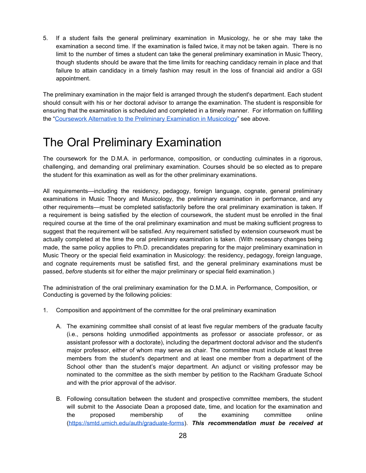5. If a student fails the general preliminary examination in Musicology, he or she may take the examination a second time. If the examination is failed twice, it may not be taken again. There is no limit to the number of times a student can take the general preliminary examination in Music Theory, though students should be aware that the time limits for reaching candidacy remain in place and that failure to attain candidacy in a timely fashion may result in the loss of financial aid and/or a GSI appointment.

The preliminary examination in the major field is arranged through the student's department. Each student should consult with his or her doctoral advisor to arrange the examination. The student is responsible for ensuring that the examination is scheduled and completed in a timely manner. For information on fulfilling the "Coursework Alternative to the Preliminary [Examination](#page-19-0) in Musicology" see above.

### <span id="page-27-0"></span>The Oral Preliminary Examination

The coursework for the D.M.A. in performance, composition, or conducting culminates in a rigorous, challenging, and demanding oral preliminary examination. Courses should be so elected as to prepare the student for this examination as well as for the other preliminary examinations.

All requirements—including the residency, pedagogy, foreign language, cognate, general preliminary examinations in Music Theory and Musicology, the preliminary examination in performance, and any other requirements—must be completed satisfactorily before the oral preliminary examination is taken. If a requirement is being satisfied by the election of coursework, the student must be enrolled in the final required course at the time of the oral preliminary examination and must be making sufficient progress to suggest that the requirement will be satisfied. Any requirement satisfied by extension coursework must be actually completed at the time the oral preliminary examination is taken. (With necessary changes being made, the same policy applies to Ph.D. precandidates preparing for the major preliminary examination in Music Theory or the special field examination in Musicology: the residency, pedagogy, foreign language, and cognate requirements must be satisfied first, and the general preliminary examinations must be passed, *before* students sit for either the major preliminary or special field examination.)

The administration of the oral preliminary examination for the D.M.A. in Performance, Composition, or Conducting is governed by the following policies:

- 1. Composition and appointment of the committee for the oral preliminary examination
	- A. The examining committee shall consist of at least five regular members of the graduate faculty (i.e., persons holding unmodified appointments as professor or associate professor, or as assistant professor with a doctorate), including the department doctoral advisor and the student's major professor, either of whom may serve as chair. The committee must include at least three members from the student's department and at least one member from a department of the School other than the student's major department. An adjunct or visiting professor may be nominated to the committee as the sixth member by petition to the Rackham Graduate School and with the prior approval of the advisor.
	- B. Following consultation between the student and prospective committee members, the student will submit to the Associate Dean a proposed date, time, and location for the examination and the proposed membership of the examining committee online [\(https://smtd.umich.edu/auth/graduate-forms](https://smtd.umich.edu/auth/graduate-forms)). *This recommendation must be received at*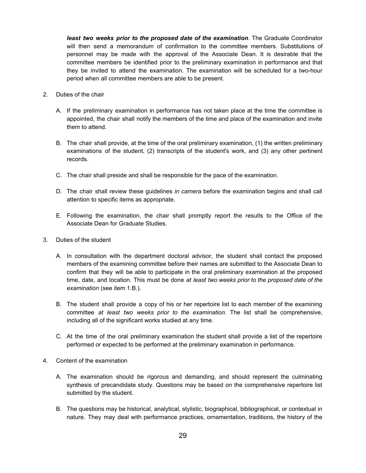*least two weeks prior to the proposed date of the examination*. The Graduate Coordinator will then send a memorandum of confirmation to the committee members. Substitutions of personnel may be made with the approval of the Associate Dean. It is desirable that the committee members be identified prior to the preliminary examination in performance and that they be invited to attend the examination. The examination will be scheduled for a two-hour period when all committee members are able to be present.

- 2. Duties of the chair
	- A. If the preliminary examination in performance has not taken place at the time the committee is appointed, the chair shall notify the members of the time and place of the examination and invite them to attend.
	- B. The chair shall provide, at the time of the oral preliminary examination, (1) the written preliminary examinations of the student, (2) transcripts of the student's work, and (3) any other pertinent records.
	- C. The chair shall preside and shall be responsible for the pace of the examination.
	- D. The chair shall review these guidelines *in camera* before the examination begins and shall call attention to specific items as appropriate.
	- E. Following the examination, the chair shall promptly report the results to the Office of the Associate Dean for Graduate Studies.
- 3. Duties of the student
	- A. In consultation with the department doctoral advisor, the student shall contact the proposed members of the examining committee before their names are submitted to the Associate Dean to confirm that they will be able to participate in the oral preliminary examination at the proposed time, date, and location. This must be done *at least two weeks prior to the proposed date of the examination* (see item 1.B.).
	- B. The student shall provide a copy of his or her repertoire list to each member of the examining committee *at least two weeks prior to the examination.* The list shall be comprehensive, including all of the significant works studied at any time.
	- C. At the time of the oral preliminary examination the student shall provide a list of the repertoire performed or expected to be performed at the preliminary examination in performance.
- 4. Content of the examination
	- A. The examination should be rigorous and demanding, and should represent the culminating synthesis of precandidate study. Questions may be based on the comprehensive repertoire list submitted by the student.
	- B. The questions may be historical, analytical, stylistic, biographical, bibliographical, or contextual in nature. They may deal with performance practices, ornamentation, traditions, the history of the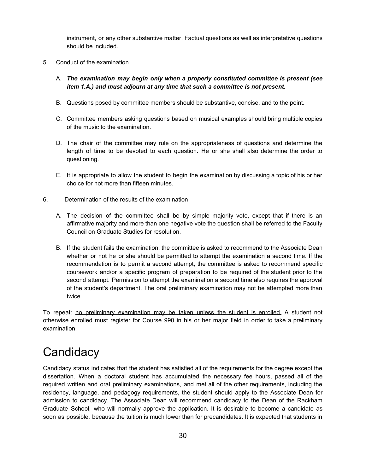instrument, or any other substantive matter. Factual questions as well as interpretative questions should be included.

- 5. Conduct of the examination
	- A. *The examination may begin only when a properly constituted committee is present (see item 1.A.) and must adjourn at any time that such a committee is not present.*
	- B. Questions posed by committee members should be substantive, concise, and to the point.
	- C. Committee members asking questions based on musical examples should bring multiple copies of the music to the examination.
	- D. The chair of the committee may rule on the appropriateness of questions and determine the length of time to be devoted to each question. He or she shall also determine the order to questioning.
	- E. It is appropriate to allow the student to begin the examination by discussing a topic of his or her choice for not more than fifteen minutes.
- 6. Determination of the results of the examination
	- A. The decision of the committee shall be by simple majority vote, except that if there is an affirmative majority and more than one negative vote the question shall be referred to the Faculty Council on Graduate Studies for resolution.
	- B. If the student fails the examination, the committee is asked to recommend to the Associate Dean whether or not he or she should be permitted to attempt the examination a second time. If the recommendation is to permit a second attempt, the committee is asked to recommend specific coursework and/or a specific program of preparation to be required of the student prior to the second attempt. Permission to attempt the examination a second time also requires the approval of the student's department. The oral preliminary examination may not be attempted more than twice.

To repeat: no preliminary examination may be taken unless the student is enrolled. A student not otherwise enrolled must register for Course 990 in his or her major field in order to take a preliminary examination.

# <span id="page-29-0"></span>**Candidacy**

Candidacy status indicates that the student has satisfied all of the requirements for the degree except the dissertation. When a doctoral student has accumulated the necessary fee hours, passed all of the required written and oral preliminary examinations, and met all of the other requirements, including the residency, language, and pedagogy requirements, the student should apply to the Associate Dean for admission to candidacy. The Associate Dean will recommend candidacy to the Dean of the Rackham Graduate School, who will normally approve the application. It is desirable to become a candidate as soon as possible, because the tuition is much lower than for precandidates. It is expected that students in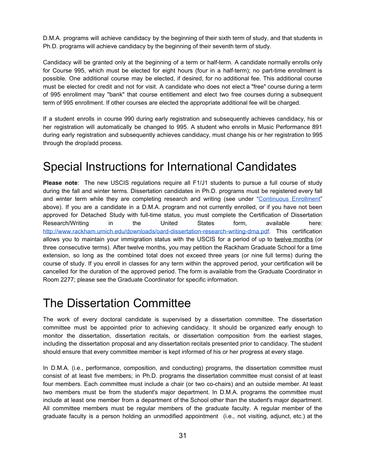D.M.A. programs will achieve candidacy by the beginning of their sixth term of study, and that students in Ph.D. programs will achieve candidacy by the beginning of their seventh term of study.

Candidacy will be granted only at the beginning of a term or half-term. A candidate normally enrolls only for Course 995, which must be elected for eight hours (four in a half-term); no part-time enrollment is possible. One additional course may be elected, if desired, for no additional fee. This additional course must be elected for credit and not for visit. A candidate who does not elect a "free" course during a term of 995 enrollment may "bank" that course entitlement and elect two free courses during a subsequent term of 995 enrollment. If other courses are elected the appropriate additional fee will be charged.

If a student enrolls in course 990 during early registration and subsequently achieves candidacy, his or her registration will automatically be changed to 995. A student who enrolls in Music Performance 891 during early registration and subsequently achieves candidacy, must change his or her registration to 995 through the drop/add process.

#### <span id="page-30-0"></span>Special Instructions for International Candidates

**Please note**: The new USCIS regulations require all F1/J1 students to pursue a full course of study during the fall and winter terms. Dissertation candidates in Ph.D. programs must be registered every fall and winter term while they are completing research and writing (see under "[Continuous](#page-7-0) Enrollment" above). If you are a candidate in a D.M.A. program and not currently enrolled, or if you have not been approved for Detached Study with full-time status, you must complete the Certification of Dissertation Research/Writing in the United States form, available here: <http://www.rackham.umich.edu/downloads/oard-dissertation-research-writing-dma.pdf>. This certification allows you to maintain your immigration status with the USCIS for a period of up to twelve months (or three consecutive terms). After twelve months, you may petition the Rackham Graduate School for a time extension, so long as the combined total does not exceed three years (or nine full terms) during the course of study. If you enroll in classes for any term within the approved period, your certification will be cancelled for the duration of the approved period. The form is available from the Graduate Coordinator in Room 2277; please see the Graduate Coordinator for specific information.

#### <span id="page-30-1"></span>The Dissertation Committee

The work of every doctoral candidate is supervised by a dissertation committee. The dissertation committee must be appointed prior to achieving candidacy. It should be organized early enough to monitor the dissertation, dissertation recitals, or dissertation composition from the earliest stages, including the dissertation proposal and any dissertation recitals presented prior to candidacy. The student should ensure that every committee member is kept informed of his or her progress at every stage.

In D.M.A. (i.e., performance, composition, and conducting) programs, the dissertation committee must consist of at least five members; in Ph.D. programs the dissertation committee must consist of at least four members. Each committee must include a chair (or two co-chairs) and an outside member. At least two members must be from the student's major department. In D.M.A. programs the committee must include at least one member from a department of the School other than the student's major department. All committee members must be regular members of the graduate faculty. A regular member of the graduate faculty is a person holding an unmodified appointment (i.e., not visiting, adjunct, etc.) at the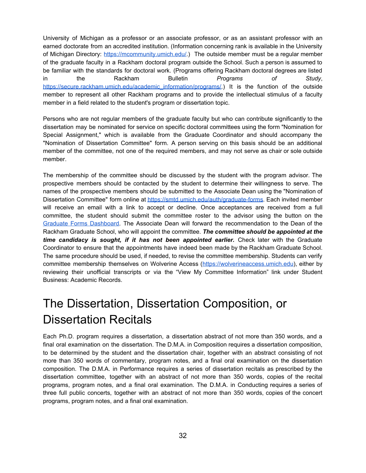University of Michigan as a professor or an associate professor, or as an assistant professor with an earned doctorate from an accredited institution. (Information concerning rank is available in the University of Michigan Directory: [https://mcommunity.umich.edu/.](https://mcommunity.umich.edu/)) The outside member must be a regular member of the graduate faculty in a Rackham doctoral program outside the School. Such a person is assumed to be familiar with the standards for doctoral work. (Programs offering Rackham doctoral degrees are listed in the Rackham Bulletin *Programs of Study*, [https://secure.rackham.umich.edu/academic\\_information/programs/](https://secure.rackham.umich.edu/academic_information/programs/).) It is the function of the outside member to represent all other Rackham programs and to provide the intellectual stimulus of a faculty member in a field related to the student's program or dissertation topic.

Persons who are not regular members of the graduate faculty but who can contribute significantly to the dissertation may be nominated for service on specific doctoral committees using the form "Nomination for Special Assignment," which is available from the Graduate Coordinator and should accompany the "Nomination of Dissertation Committee" form. A person serving on this basis should be an additional member of the committee, not one of the required members, and may not serve as chair or sole outside member.

The membership of the committee should be discussed by the student with the program advisor. The prospective members should be contacted by the student to determine their willingness to serve. The names of the prospective members should be submitted to the Associate Dean using the "Nomination of Dissertation Committee" form online at <https://smtd.umich.edu/auth/graduate-forms>. Each invited member will receive an email with a link to accept or decline. Once acceptances are received from a full committee, the student should submit the committee roster to the advisor using the button on the Graduate Forms [Dashboard.](https://smtd.umich.edu/auth/graduate-forms) The Associate Dean will forward the recommendation to the Dean of the Rackham Graduate School, who will appoint the committee. *The committee should be appointed at the time candidacy is sought, if it has not been appointed earlier.* Check later with the Graduate Coordinator to ensure that the appointments have indeed been made by the Rackham Graduate School. The same procedure should be used, if needed, to revise the committee membership. Students can verify committee membership themselves on Wolverine Access ([https://wolverineaccess.umich.edu](https://wolverineaccess.umich.edu/)), either by reviewing their unofficial transcripts or via the "View My Committee Information" link under Student Business: Academic Records.

# <span id="page-31-0"></span>The Dissertation, Dissertation Composition, or Dissertation Recitals

Each Ph.D. program requires a dissertation, a dissertation abstract of not more than 350 words, and a final oral examination on the dissertation. The D.M.A. in Composition requires a dissertation composition, to be determined by the student and the dissertation chair, together with an abstract consisting of not more than 350 words of commentary, program notes, and a final oral examination on the dissertation composition. The D.M.A. in Performance requires a series of dissertation recitals as prescribed by the dissertation committee, together with an abstract of not more than 350 words, copies of the recital programs, program notes, and a final oral examination. The D.M.A. in Conducting requires a series of three full public concerts, together with an abstract of not more than 350 words, copies of the concert programs, program notes, and a final oral examination.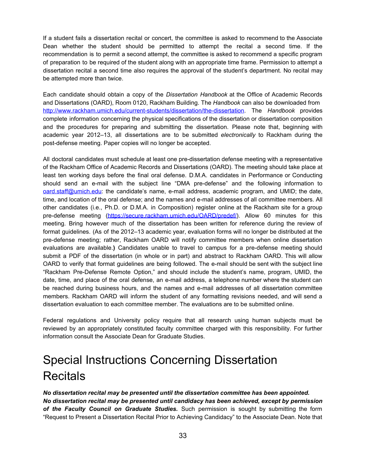If a student fails a dissertation recital or concert, the committee is asked to recommend to the Associate Dean whether the student should be permitted to attempt the recital a second time. If the recommendation is to permit a second attempt, the committee is asked to recommend a specific program of preparation to be required of the student along with an appropriate time frame. Permission to attempt a dissertation recital a second time also requires the approval of the student's department. No recital may be attempted more than twice.

Each candidate should obtain a copy of the *Dissertation Handbook* at the Office of Academic Records and Dissertations (OARD), Room 0120, Rackham Building. The *Handbook* can also be downloaded from [http://www.rackham.umich.edu/current-students/dissertation/the-dissertation.](http://www.rackham.umich.edu/current-students/dissertation/the-dissertation) The *Handbook* provides complete information concerning the physical specifications of the dissertation or dissertation composition and the procedures for preparing and submitting the dissertation. Please note that, beginning with academic year 2012–13, all dissertations are to be submitted *electronically* to Rackham during the post-defense meeting. Paper copies will no longer be accepted.

All doctoral candidates must schedule at least one pre-dissertation defense meeting with a representative of the Rackham Office of Academic Records and Dissertations (OARD). The meeting should take place at least ten working days before the final oral defense. D.M.A. candidates in Performance or Conducting should send an e-mail with the subject line "DMA pre-defense" and the following information to [oard.staff@umich.edu:](mailto:oard.staff@umich.edu) the candidate's name, e-mail address, academic program, and UMID; the date, time, and location of the oral defense; and the names and e-mail addresses of all committee members. All other candidates (i.e., Ph.D. or D.M.A. in Composition) register online at the Rackham site for a group pre-defense meeting [\(https://secure.rackham.umich.edu/OARD/predef/\)](https://secure.rackham.umich.edu/OARD/predef/). Allow 60 minutes for this meeting. Bring however much of the dissertation has been written for reference during the review of format guidelines. (As of the 2012–13 academic year, evaluation forms will no longer be distributed at the pre-defense meeting; rather, Rackham OARD will notify committee members when online dissertation evaluations are available.**)** Candidates unable to travel to campus for a pre-defense meeting should submit a PDF of the dissertation (in whole or in part) and abstract to Rackham OARD. This will allow OARD to verify that format guidelines are being followed. The e-mail should be sent with the subject line "Rackham Pre-Defense Remote Option," and should include the student's name, program, UMID, the date, time, and place of the oral defense, an e-mail address, a telephone number where the student can be reached during business hours, and the names and e-mail addresses of all dissertation committee members. Rackham OARD will inform the student of any formatting revisions needed, and will send a dissertation evaluation to each committee member. The evaluations are to be submitted online.

Federal regulations and University policy require that all research using human subjects must be reviewed by an appropriately constituted faculty committee charged with this responsibility. For further information consult the Associate Dean for Graduate Studies.

# <span id="page-32-0"></span>Special Instructions Concerning Dissertation **Recitals**

*No dissertation recital may be presented until the dissertation committee has been appointed. No dissertation recital may be presented until candidacy has been achieved, except by permission of the Faculty Council on Graduate Studies.* Such permission is sought by submitting the form "Request to Present a Dissertation Recital Prior to Achieving Candidacy" to the Associate Dean. Note that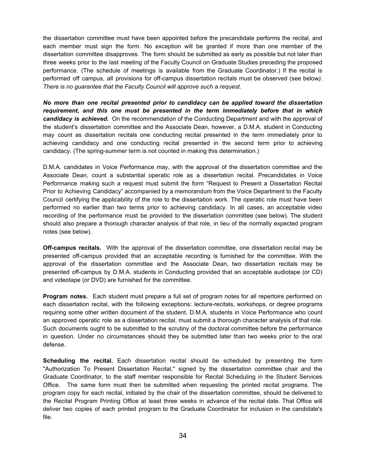the dissertation committee must have been appointed before the precandidate performs the recital, and each member must sign the form. No exception will be granted if more than one member of the dissertation committee disapproves. The form should be submitted as early as possible but not later than three weeks prior to the last meeting of the Faculty Council on Graduate Studies preceding the proposed performance. (The schedule of meetings is available from the Graduate Coordinator.) If the recital is performed off campus, all provisions for off-campus dissertation recitals must be observed (see below*). There is no guarantee that the Faculty Council will approve such a request.*

*No more than one recital presented prior to candidacy can be applied toward the dissertation requirement, and this one must be presented in the term immediately before that in which candidacy is achieved.* On the recommendation of the Conducting Department and with the approval of the student's dissertation committee and the Associate Dean, however, a D.M.A. student in Conducting may count as dissertation recitals one conducting recital presented in the term immediately prior to achieving candidacy and one conducting recital presented in the second term prior to achieving candidacy. (The spring-summer term is not counted in making this determination.)

D.M.A. candidates in Voice Performance may, with the approval of the dissertation committee and the Associate Dean, count a substantial operatic role as a dissertation recital. Precandidates in Voice Performance making such a request must submit the form "Request to Present a Dissertation Recital Prior to Achieving Candidacy" accompanied by a memorandum from the Voice Department to the Faculty Council certifying the applicability of the role to the dissertation work. The operatic role must have been performed no earlier than two terms prior to achieving candidacy. In all cases, an acceptable video recording of the performance must be provided to the dissertation committee (see below). The student should also prepare a thorough character analysis of that role, in lieu of the normally expected program notes (see below).

**Off-campus recitals.** With the approval of the dissertation committee, one dissertation recital may be presented off-campus provided that an acceptable recording is furnished for the committee. With the approval of the dissertation committee and the Associate Dean, two dissertation recitals may be presented off-campus by D.M.A. students in Conducting provided that an acceptable audiotape (or CD) and videotape (or DVD) are furnished for the committee.

**Program notes.** Each student must prepare a full set of program notes for all repertoire performed on each dissertation recital, with the following exceptions: lecture-recitals, workshops, or degree programs requiring some other written document of the student. D.M.A. students in Voice Performance who count an approved operatic role as a dissertation recital, must submit a thorough character analysis of that role. Such documents ought to be submitted to the scrutiny of the doctoral committee before the performance in question. Under no circumstances should they be submitted later than two weeks prior to the oral defense.

**Scheduling the recital.** Each dissertation recital should be scheduled by presenting the form "Authorization To Present Dissertation Recital," signed by the dissertation committee chair and the Graduate Coordinator, to the staff member responsible for Recital Scheduling in the Student Services Office. The same form must then be submitted when requesting the printed recital programs. The program copy for each recital, initialed by the chair of the dissertation committee, should be delivered to the Recital Program Printing Office at least three weeks in advance of the recital date. That Office will deliver two copies of each printed program to the Graduate Coordinator for inclusion in the candidate's file.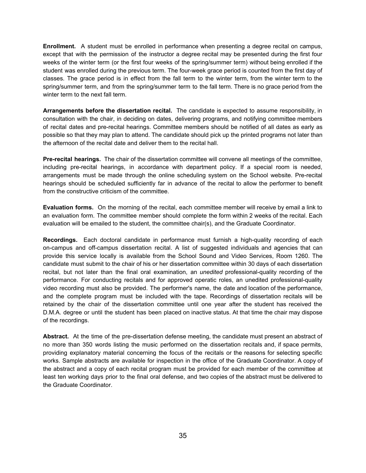**Enrollment.** A student must be enrolled in performance when presenting a degree recital on campus, except that with the permission of the instructor a degree recital may be presented during the first four weeks of the winter term (or the first four weeks of the spring/summer term) without being enrolled if the student was enrolled during the previous term. The four-week grace period is counted from the first day of classes. The grace period is in effect from the fall term to the winter term, from the winter term to the spring/summer term, and from the spring/summer term to the fall term. There is no grace period from the winter term to the next fall term.

**Arrangements before the dissertation recital.** The candidate is expected to assume responsibility, in consultation with the chair, in deciding on dates, delivering programs, and notifying committee members of recital dates and pre-recital hearings. Committee members should be notified of all dates as early as possible so that they may plan to attend. The candidate should pick up the printed programs not later than the afternoon of the recital date and deliver them to the recital hall.

**Pre-recital hearings.** The chair of the dissertation committee will convene all meetings of the committee, including pre-recital hearings, in accordance with department policy. If a special room is needed, arrangements must be made through the online scheduling system on the School website. Pre-recital hearings should be scheduled sufficiently far in advance of the recital to allow the performer to benefit from the constructive criticism of the committee.

**Evaluation forms.** On the morning of the recital, each committee member will receive by email a link to an evaluation form. The committee member should complete the form within 2 weeks of the recital. Each evaluation will be emailed to the student, the committee chair(s), and the Graduate Coordinator.

**Recordings.** Each doctoral candidate in performance must furnish a high-quality recording of each on-campus and off-campus dissertation recital. A list of suggested individuals and agencies that can provide this service locally is available from the School Sound and Video Services, Room 1260. The candidate must submit to the chair of his or her dissertation committee within 30 days of each dissertation recital, but not later than the final oral examination, an *unedited* professional-quality recording of the performance. For conducting recitals and for approved operatic roles, an unedited professional-quality video recording must also be provided. The performer's name, the date and location of the performance, and the complete program must be included with the tape. Recordings of dissertation recitals will be retained by the chair of the dissertation committee until one year after the student has received the D.M.A. degree or until the student has been placed on inactive status. At that time the chair may dispose of the recordings.

**Abstract.** At the time of the pre-dissertation defense meeting, the candidate must present an abstract of no more than 350 words listing the music performed on the dissertation recitals and, if space permits, providing explanatory material concerning the focus of the recitals or the reasons for selecting specific works. Sample abstracts are available for inspection in the office of the Graduate Coordinator. A copy of the abstract and a copy of each recital program must be provided for each member of the committee at least ten working days prior to the final oral defense, and two copies of the abstract must be delivered to the Graduate Coordinator.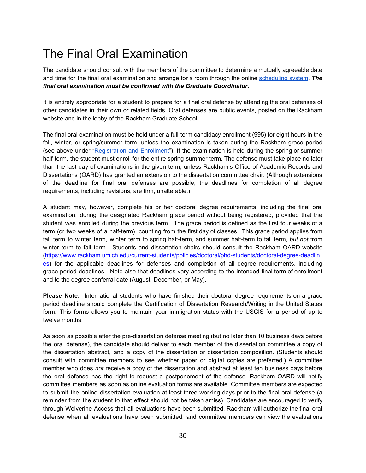# <span id="page-35-0"></span>The Final Oral Examination

The candidate should consult with the members of the committee to determine a mutually agreeable date and time for the final oral examination and arrange for a room through the online [scheduling](https://scheduling.music.umich.edu/) system. *The final oral examination must be confirmed with the Graduate Coordinator.*

It is entirely appropriate for a student to prepare for a final oral defense by attending the oral defenses of other candidates in their own or related fields. Oral defenses are public events, posted on the Rackham website and in the lobby of the Rackham Graduate School.

The final oral examination must be held under a full-term candidacy enrollment (995) for eight hours in the fall, winter, or spring/summer term, unless the examination is taken during the Rackham grace period (see above under ["Registration](#page-3-1) and Enrollment"). If the examination is held during the spring or summer half-term, the student must enroll for the entire spring-summer term. The defense must take place no later than the last day of examinations in the given term, unless Rackham's Office of Academic Records and Dissertations (OARD) has granted an extension to the dissertation committee chair. (Although extensions of the deadline for final oral defenses are possible, the deadlines for completion of all degree requirements, including revisions, are firm, unalterable.)

A student may, however, complete his or her doctoral degree requirements, including the final oral examination, during the designated Rackham grace period without being registered, provided that the student was enrolled during the previous term. The grace period is defined as the first four weeks of a term (or two weeks of a half-term), counting from the first day of classes. This grace period applies from fall term to winter term, winter term to spring half-term, and summer half-term to fall term, *but not* from winter term to fall term. Students and dissertation chairs should consult the Rackham OARD website [\(https://www.rackham.umich.edu/current-students/policies/doctoral/phd-students/doctoral-degree-deadlin](https://www.rackham.umich.edu/current-students/policies/doctoral/phd-students/doctoral-degree-deadlines) [es](https://www.rackham.umich.edu/current-students/policies/doctoral/phd-students/doctoral-degree-deadlines)) for the applicable deadlines for defenses and completion of all degree requirements, including grace-period deadlines. Note also that deadlines vary according to the intended final term of enrollment and to the degree conferral date (August, December, or May).

**Please Note**: International students who have finished their doctoral degree requirements on a grace period deadline should complete the Certification of Dissertation Research/Writing in the United States form. This forms allows you to maintain your immigration status with the USCIS for a period of up to twelve months.

As soon as possible after the pre-dissertation defense meeting (but no later than 10 business days before the oral defense), the candidate should deliver to each member of the dissertation committee a copy of the dissertation abstract, and a copy of the dissertation or dissertation composition. (Students should consult with committee members to see whether paper or digital copies are preferred.) A committee member who does *not* receive a copy of the dissertation and abstract at least ten business days before the oral defense has the right to request a postponement of the defense. Rackham OARD will notify committee members as soon as online evaluation forms are available. Committee members are expected to submit the online dissertation evaluation at least three working days prior to the final oral defense (a reminder from the student to that effect should not be taken amiss). Candidates are encouraged to verify through Wolverine Access that all evaluations have been submitted. Rackham will authorize the final oral defense when all evaluations have been submitted, and committee members can view the evaluations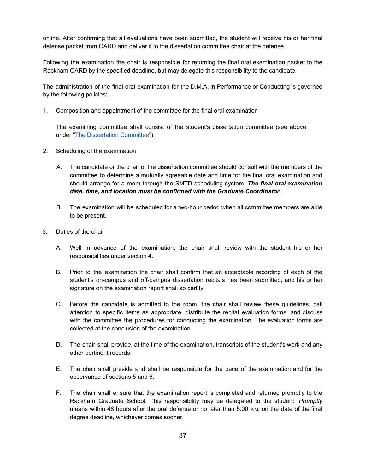online. After confirming that all evaluations have been submitted, the student will receive his or her final defense packet from OARD and deliver it to the dissertation committee chair at the defense.

Following the examination the chair is responsible for returning the final oral examination packet to the Rackham OARD by the specified deadline, but may delegate this responsibility to the candidate.

The administration of the final oral examination for the D.M.A. in Performance or Conducting is governed by the following policies:

1. Composition and appointment of the committee for the final oral examination

The examining committee shall consist of the student's dissertation committee (see above under "The [Dissertation](#page-30-1) Committee").

- 2. Scheduling of the examination
	- A. The candidate or the chair of the dissertation committee should consult with the members of the committee to determine a mutually agreeable date and time for the final oral examination and should arrange for a room through the SMTD scheduling system. *The final oral examination date, time, and location must be confirmed with the Graduate Coordinator.*
	- B. The examination will be scheduled for a two-hour period when all committee members are able to be present.
- 3. Duties of the chair
	- A. Well in advance of the examination, the chair shall review with the student his or her responsibilities under section 4.
	- B. Prior to the examination the chair shall confirm that an acceptable recording of each of the student's on-campus and off-campus dissertation recitals has been submitted, and his or her signature on the examination report shall so certify.
	- C. Before the candidate is admitted to the room, the chair shall review these guidelines, call attention to specific items as appropriate, distribute the recital evaluation forms, and discuss with the committee the procedures for conducting the examination. The evaluation forms are collected at the conclusion of the examination.
	- D. The chair shall provide, at the time of the examination, transcripts of the student's work and any other pertinent records.
	- E. The chair shall preside and shall be responsible for the pace of the examination and for the observance of sections 5 and 6.
	- F. The chair shall ensure that the examination report is completed and returned promptly to the Rackham Graduate School. This responsibility may be delegated to the student. *Promptly* means within 48 hours after the oral defense or no later than 5:00 <sup>P</sup>.M. on the date of the final degree deadline, whichever comes sooner.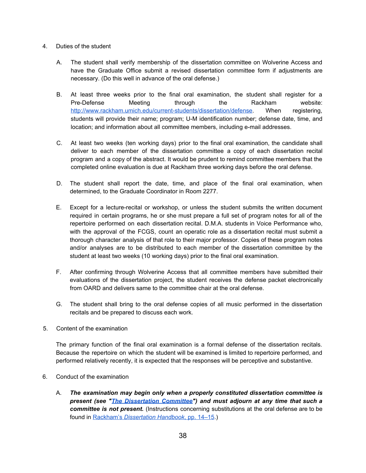- 4. Duties of the student
	- A. The student shall verify membership of the dissertation committee on Wolverine Access and have the Graduate Office submit a revised dissertation committee form if adjustments are necessary. (Do this well in advance of the oral defense.)
	- B. At least three weeks prior to the final oral examination, the student shall register for a Pre-Defense Meeting through the Rackham website: <http://www.rackham.umich.edu/current-students/dissertation/defense>. When registering, students will provide their name; program; U-M identification number; defense date, time, and location; and information about all committee members, including e-mail addresses.
	- C. At least two weeks (ten working days) prior to the final oral examination, the candidate shall deliver to each member of the dissertation committee a copy of each dissertation recital program and a copy of the abstract. It would be prudent to remind committee members that the completed online evaluation is due at Rackham three working days before the oral defense.
	- D. The student shall report the date, time, and place of the final oral examination, when determined, to the Graduate Coordinator in Room 2277.
	- E. Except for a lecture-recital or workshop, or unless the student submits the written document required in certain programs, he or she must prepare a full set of program notes for all of the repertoire performed on each dissertation recital. D.M.A. students in Voice Performance who, with the approval of the FCGS, count an operatic role as a dissertation recital must submit a thorough character analysis of that role to their major professor. Copies of these program notes and/or analyses are to be distributed to each member of the dissertation committee by the student at least two weeks (10 working days) prior to the final oral examination.
	- F. After confirming through Wolverine Access that all committee members have submitted their evaluations of the dissertation project, the student receives the defense packet electronically from OARD and delivers same to the committee chair at the oral defense.
	- G. The student shall bring to the oral defense copies of all music performed in the dissertation recitals and be prepared to discuss each work.
- 5. Content of the examination

The primary function of the final oral examination is a formal defense of the dissertation recitals. Because the repertoire on which the student will be examined is limited to repertoire performed, and performed relatively recently, it is expected that the responses will be perceptive and substantive.

- 6. Conduct of the examination
	- A. *The examination may begin only when a properly constituted dissertation committee is present (see "The [Dissertation](#page-30-1) Committee") and must adjourn at any time that such a committee is not present.* (Instructions concerning substitutions at the oral defense are to be found in [Rackham's](http://www.rackham.umich.edu/downloads/oard-dissertation-handbook.pdf) *[Dissertation](http://www.rackham.umich.edu/downloads/oard-dissertation-handbook.pdf) Handbook*, pp. [14–15](http://www.rackham.umich.edu/downloads/oard-dissertation-handbook.pdf).)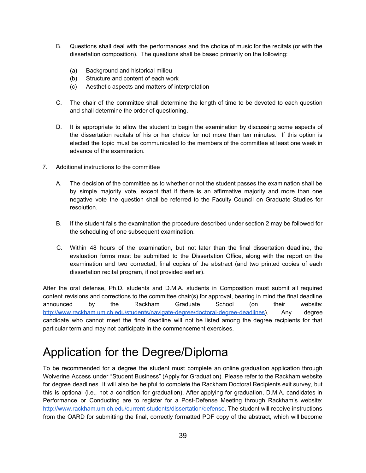- B. Questions shall deal with the performances and the choice of music for the recitals (or with the dissertation composition). The questions shall be based primarily on the following:
	- (a) Background and historical milieu
	- (b) Structure and content of each work
	- (c) Aesthetic aspects and matters of interpretation
- C. The chair of the committee shall determine the length of time to be devoted to each question and shall determine the order of questioning.
- D. It is appropriate to allow the student to begin the examination by discussing some aspects of the dissertation recitals of his or her choice for not more than ten minutes. If this option is elected the topic must be communicated to the members of the committee at least one week in advance of the examination.
- 7. Additional instructions to the committee
	- A. The decision of the committee as to whether or not the student passes the examination shall be by simple majority vote, except that if there is an affirmative majority and more than one negative vote the question shall be referred to the Faculty Council on Graduate Studies for resolution.
	- B. If the student fails the examination the procedure described under section 2 may be followed for the scheduling of one subsequent examination.
	- C. Within 48 hours of the examination, but not later than the final dissertation deadline, the evaluation forms must be submitted to the Dissertation Office, along with the report on the examination and two corrected, final copies of the abstract (and two printed copies of each dissertation recital program, if not provided earlier).

After the oral defense, Ph.D. students and D.M.A. students in Composition must submit all required content revisions and corrections to the committee chair(s) for approval, bearing in mind the final deadline announced by the Rackham Graduate School (on their website: <http://www.rackham.umich.edu/students/navigate-degree/doctoral-degree-deadlines>). Any degree candidate who cannot meet the final deadline will not be listed among the degree recipients for that particular term and may not participate in the commencement exercises.

### <span id="page-38-0"></span>Application for the Degree/Diploma

To be recommended for a degree the student must complete an online graduation application through Wolverine Access under "Student Business" (Apply for Graduation). Please refer to the Rackham website for degree deadlines. It will also be helpful to complete the Rackham Doctoral Recipients exit survey, but this is optional (i.e., not a condition for graduation). After applying for graduation, D.M.A. candidates in Performance or Conducting are to register for a Post-Defense Meeting through Rackham's website: [http://www.rackham.umich.edu/current-students/dissertation/defense.](http://www.rackham.umich.edu/current-students/dissertation/defense) The student will receive instructions from the OARD for submitting the final, correctly formatted PDF copy of the abstract, which will become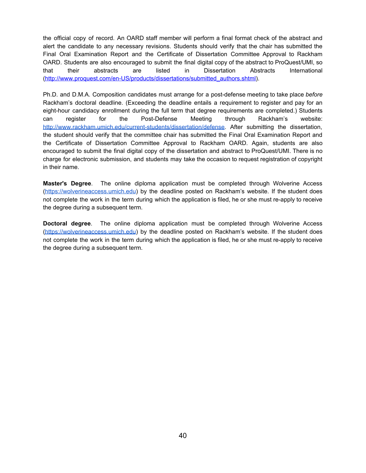the official copy of record. An OARD staff member will perform a final format check of the abstract and alert the candidate to any necessary revisions. Students should verify that the chair has submitted the Final Oral Examination Report and the Certificate of Dissertation Committee Approval to Rackham OARD. Students are also encouraged to submit the final digital copy of the abstract to ProQuest/UMI, so that their abstracts are listed in Dissertation Abstracts International [\(http://www.proquest.com/en-US/products/dissertations/submitted\\_authors.shtml](http://www.proquest.com/en-US/products/dissertations/submitted_authors.shtml)).

Ph.D. and D.M.A. Composition candidates must arrange for a post-defense meeting to take place *before* Rackham's doctoral deadline. (Exceeding the deadline entails a requirement to register and pay for an eight-hour candidacy enrollment during the full term that degree requirements are completed.) Students can register for the Post-Defense Meeting through Rackham's website: [http://www.rackham.umich.edu/current-students/dissertation/defense.](http://www.rackham.umich.edu/current-students/dissertation/defense) After submitting the dissertation, the student should verify that the committee chair has submitted the Final Oral Examination Report and the Certificate of Dissertation Committee Approval to Rackham OARD. Again, students are also encouraged to submit the final digital copy of the dissertation and abstract to ProQuest/UMI. There is no charge for electronic submission, and students may take the occasion to request registration of copyright in their name.

**Master's Degree**. The online diploma application must be completed through Wolverine Access [\(https://wolverineaccess.umich.edu](https://wolverineaccess.umich.edu/)) by the deadline posted on Rackham's website. If the student does not complete the work in the term during which the application is filed, he or she must re-apply to receive the degree during a subsequent term.

**Doctoral degree**. The online diploma application must be completed through Wolverine Access [\(https://wolverineaccess.umich.edu](https://wolverineaccess.umich.edu/)) by the deadline posted on Rackham's website. If the student does not complete the work in the term during which the application is filed, he or she must re-apply to receive the degree during a subsequent term.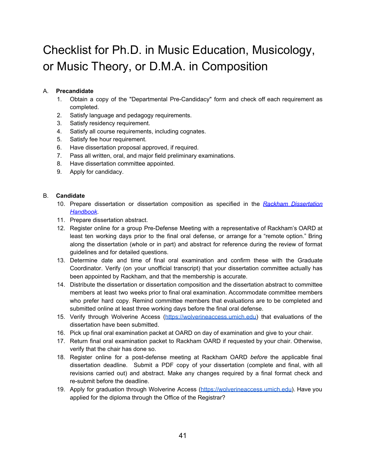# <span id="page-40-0"></span>Checklist for Ph.D. in Music Education, Musicology, or Music Theory, or D.M.A. in Composition

#### A. **Precandidate**

- 1. Obtain a copy of the "Departmental Pre-Candidacy" form and check off each requirement as completed.
- 2. Satisfy language and pedagogy requirements.
- 3. Satisfy residency requirement.
- 4. Satisfy all course requirements, including cognates.
- 5. Satisfy fee hour requirement.
- 6. Have dissertation proposal approved, if required.
- 7. Pass all written, oral, and major field preliminary examinations.
- 8. Have dissertation committee appointed.
- 9. Apply for candidacy.

#### B. **Candidate**

- 10. Prepare dissertation or dissertation composition as specified in the *Rackham [Dissertation](http://www.rackham.umich.edu/downloads/oard-dissertation-handbook.pdf) [Handbook](http://www.rackham.umich.edu/downloads/oard-dissertation-handbook.pdf)*.
- 11. Prepare dissertation abstract.
- 12. Register online for a group Pre-Defense Meeting with a representative of Rackham's OARD at least ten working days prior to the final oral defense, or arrange for a "remote option." Bring along the dissertation (whole or in part) and abstract for reference during the review of format guidelines and for detailed questions.
- 13. Determine date and time of final oral examination and confirm these with the Graduate Coordinator. Verify (on your unofficial transcript) that your dissertation committee actually has been appointed by Rackham, and that the membership is accurate.
- 14. Distribute the dissertation or dissertation composition and the dissertation abstract to committee members at least two weeks prior to final oral examination. Accommodate committee members who prefer hard copy. Remind committee members that evaluations are to be completed and submitted online at least three working days before the final oral defense.
- 15. Verify through Wolverine Access ([https://wolverineaccess.umich.edu\)](https://wolverineaccess.umich.edu/) that evaluations of the dissertation have been submitted.
- 16. Pick up final oral examination packet at OARD on day of examination and give to your chair.
- 17. Return final oral examination packet to Rackham OARD if requested by your chair. Otherwise, verify that the chair has done so.
- 18. Register online for a post-defense meeting at Rackham OARD *before* the applicable final dissertation deadline. Submit a PDF copy of your dissertation (complete and final, with all revisions carried out) and abstract. Make any changes required by a final format check and re-submit before the deadline.
- 19. Apply for graduation through Wolverine Access ([https://wolverineaccess.umich.edu](https://wolverineaccess.umich.edu/)). Have you applied for the diploma through the Office of the Registrar?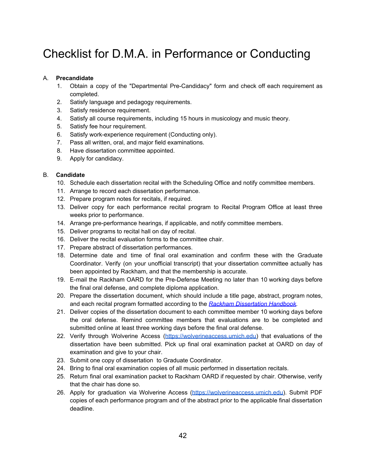# <span id="page-41-0"></span>Checklist for D.M.A. in Performance or Conducting

#### A. **Precandidate**

- 1. Obtain a copy of the "Departmental Pre-Candidacy" form and check off each requirement as completed.
- 2. Satisfy language and pedagogy requirements.
- 3. Satisfy residence requirement.
- 4. Satisfy all course requirements, including 15 hours in musicology and music theory.
- 5. Satisfy fee hour requirement.
- 6. Satisfy work-experience requirement (Conducting only).
- 7. Pass all written, oral, and major field examinations.
- 8. Have dissertation committee appointed.
- 9. Apply for candidacy.

#### B. **Candidate**

- 10. Schedule each dissertation recital with the Scheduling Office and notify committee members.
- 11. Arrange to record each dissertation performance.
- 12. Prepare program notes for recitals, if required.
- 13. Deliver copy for each performance recital program to Recital Program Office at least three weeks prior to performance.
- 14. Arrange pre-performance hearings, if applicable, and notify committee members.
- 15. Deliver programs to recital hall on day of recital.
- 16. Deliver the recital evaluation forms to the committee chair.
- 17. Prepare abstract of dissertation performances.
- 18. Determine date and time of final oral examination and confirm these with the Graduate Coordinator. Verify (on your unofficial transcript) that your dissertation committee actually has been appointed by Rackham, and that the membership is accurate.
- 19. E-mail the Rackham OARD for the Pre-Defense Meeting no later than 10 working days before the final oral defense, and complete diploma application.
- 20. Prepare the dissertation document, which should include a title page, abstract, program notes, and each recital program formatted according to the *Rackham [Dissertation](http://www.rackham.umich.edu/downloads/oard-dissertation-handbook.pdf) Handbook*.
- 21. Deliver copies of the dissertation document to each committee member 10 working days before the oral defense. Remind committee members that evaluations are to be completed and submitted online at least three working days before the final oral defense.
- 22. Verify through Wolverine Access ([https://wolverineaccess.umich.edu\)](https://wolverineaccess.umich.edu/) that evaluations of the dissertation have been submitted. Pick up final oral examination packet at OARD on day of examination and give to your chair.
- 23. Submit one copy of dissertation to Graduate Coordinator.
- 24. Bring to final oral examination copies of all music performed in dissertation recitals.
- 25. Return final oral examination packet to Rackham OARD if requested by chair. Otherwise, verify that the chair has done so.
- 26. Apply for graduation via Wolverine Access ([https://wolverineaccess.umich.edu\)](https://wolverineaccess.umich.edu/). Submit PDF copies of each performance program and of the abstract prior to the applicable final dissertation deadline.